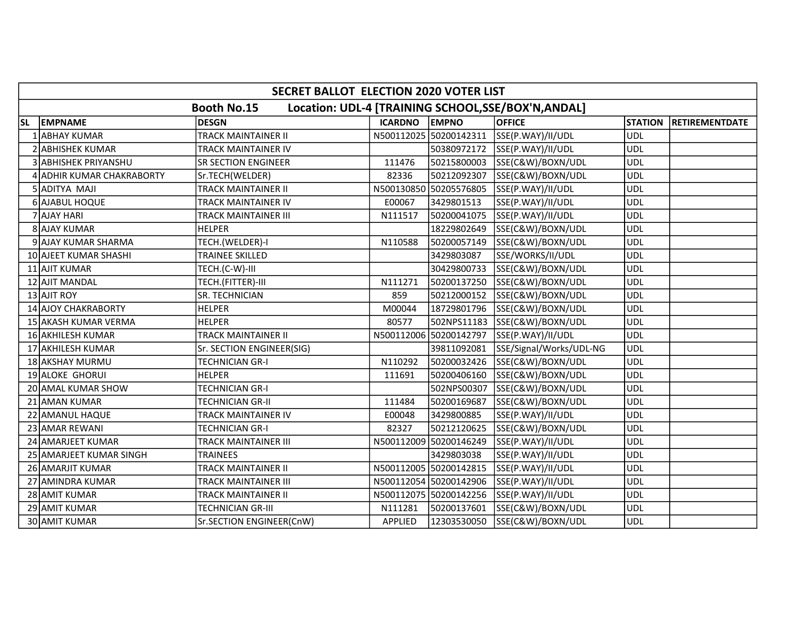|           | SECRET BALLOT ELECTION 2020 VOTER LIST                                    |                             |                |                        |                         |                |                       |  |  |  |  |
|-----------|---------------------------------------------------------------------------|-----------------------------|----------------|------------------------|-------------------------|----------------|-----------------------|--|--|--|--|
|           | Location: UDL-4 [TRAINING SCHOOL, SSE/BOX'N, ANDAL]<br><b>Booth No.15</b> |                             |                |                        |                         |                |                       |  |  |  |  |
| <b>SL</b> | <b>EMPNAME</b>                                                            | DESGN                       | <b>ICARDNO</b> | <b>EMPNO</b>           | <b>OFFICE</b>           | <b>STATION</b> | <b>RETIREMENTDATE</b> |  |  |  |  |
|           | 1 ABHAY KUMAR                                                             | <b>TRACK MAINTAINER II</b>  |                | N500112025 50200142311 | SSE(P.WAY)/II/UDL       | <b>UDL</b>     |                       |  |  |  |  |
|           | 2 ABHISHEK KUMAR                                                          | TRACK MAINTAINER IV         |                | 50380972172            | SSE(P.WAY)/II/UDL       | <b>UDL</b>     |                       |  |  |  |  |
|           | 3 ABHISHEK PRIYANSHU                                                      | <b>SR SECTION ENGINEER</b>  | 111476         | 50215800003            | SSE(C&W)/BOXN/UDL       | <b>UDL</b>     |                       |  |  |  |  |
|           | 4 ADHIR KUMAR CHAKRABORTY                                                 | Sr.TECH(WELDER)             | 82336          | 50212092307            | SSE(C&W)/BOXN/UDL       | <b>UDL</b>     |                       |  |  |  |  |
|           | 5 ADITYA MAJI                                                             | TRACK MAINTAINER II         |                | N500130850 50205576805 | SSE(P.WAY)/II/UDL       | <b>UDL</b>     |                       |  |  |  |  |
|           | 6 AJABUL HOQUE                                                            | TRACK MAINTAINER IV         | E00067         | 3429801513             | SSE(P.WAY)/II/UDL       | <b>UDL</b>     |                       |  |  |  |  |
|           | 7 AJAY HARI                                                               | TRACK MAINTAINER III        | N111517        | 50200041075            | SSE(P.WAY)/II/UDL       | <b>UDL</b>     |                       |  |  |  |  |
|           | 8 AJAY KUMAR                                                              | HELPER                      |                | 18229802649            | SSE(C&W)/BOXN/UDL       | <b>UDL</b>     |                       |  |  |  |  |
|           | 9 AJAY KUMAR SHARMA                                                       | TECH.(WELDER)-I             | N110588        | 50200057149            | SSE(C&W)/BOXN/UDL       | <b>UDL</b>     |                       |  |  |  |  |
|           | 10 AJEET KUMAR SHASHI                                                     | <b>TRAINEE SKILLED</b>      |                | 3429803087             | SSE/WORKS/II/UDL        | <b>UDL</b>     |                       |  |  |  |  |
|           | 11 AJIT KUMAR                                                             | TECH.(C-W)-III              |                | 30429800733            | SSE(C&W)/BOXN/UDL       | <b>UDL</b>     |                       |  |  |  |  |
|           | 12 AJIT MANDAL                                                            | TECH.(FITTER)-III           | N111271        | 50200137250            | SSE(C&W)/BOXN/UDL       | <b>UDL</b>     |                       |  |  |  |  |
|           | 13 AJIT ROY                                                               | SR. TECHNICIAN              | 859            | 50212000152            | SSE(C&W)/BOXN/UDL       | <b>UDL</b>     |                       |  |  |  |  |
|           | 14 AJOY CHAKRABORTY                                                       | <b>HELPER</b>               | M00044         | 18729801796            | SSE(C&W)/BOXN/UDL       | <b>UDL</b>     |                       |  |  |  |  |
|           | 15 AKASH KUMAR VERMA                                                      | <b>HELPER</b>               | 80577          | 502NPS11183            | SSE(C&W)/BOXN/UDL       | <b>UDL</b>     |                       |  |  |  |  |
|           | 16 AKHILESH KUMAR                                                         | TRACK MAINTAINER II         |                | N500112006 50200142797 | SSE(P.WAY)/II/UDL       | <b>UDL</b>     |                       |  |  |  |  |
|           | 17 AKHILESH KUMAR                                                         | Sr. SECTION ENGINEER(SIG)   |                | 39811092081            | SSE/Signal/Works/UDL-NG | UDL            |                       |  |  |  |  |
|           | 18 AKSHAY MURMU                                                           | TECHNICIAN GR-I             | N110292        | 50200032426            | SSE(C&W)/BOXN/UDL       | <b>UDL</b>     |                       |  |  |  |  |
|           | 19 ALOKE GHORUI                                                           | <b>HELPER</b>               | 111691         | 50200406160            | SSE(C&W)/BOXN/UDL       | <b>UDL</b>     |                       |  |  |  |  |
|           | 20 AMAL KUMAR SHOW                                                        | <b>TECHNICIAN GR-I</b>      |                | 502NPS00307            | SSE(C&W)/BOXN/UDL       | <b>UDL</b>     |                       |  |  |  |  |
|           | 21 AMAN KUMAR                                                             | <b>TECHNICIAN GR-II</b>     | 111484         | 50200169687            | SSE(C&W)/BOXN/UDL       | <b>UDL</b>     |                       |  |  |  |  |
|           | 22 AMANUL HAQUE                                                           | <b>TRACK MAINTAINER IV</b>  | E00048         | 3429800885             | SSE(P.WAY)/II/UDL       | <b>UDL</b>     |                       |  |  |  |  |
|           | 23 AMAR REWANI                                                            | TECHNICIAN GR-I             | 82327          | 50212120625            | SSE(C&W)/BOXN/UDL       | <b>UDL</b>     |                       |  |  |  |  |
|           | 24 AMARJEET KUMAR                                                         | <b>TRACK MAINTAINER III</b> |                | N500112009 50200146249 | SSE(P.WAY)/II/UDL       | <b>UDL</b>     |                       |  |  |  |  |
|           | 25 AMARJEET KUMAR SINGH                                                   | <b>TRAINEES</b>             |                | 3429803038             | SSE(P.WAY)/II/UDL       | <b>UDL</b>     |                       |  |  |  |  |
|           | 26 AMARJIT KUMAR                                                          | <b>TRACK MAINTAINER II</b>  |                | N500112005 50200142815 | SSE(P.WAY)/II/UDL       | <b>UDL</b>     |                       |  |  |  |  |
|           | 27 AMINDRA KUMAR                                                          | TRACK MAINTAINER III        |                | N500112054 50200142906 | SSE(P.WAY)/II/UDL       | <b>UDL</b>     |                       |  |  |  |  |
|           | 28 AMIT KUMAR                                                             | <b>TRACK MAINTAINER II</b>  |                | N500112075 50200142256 | SSE(P.WAY)/II/UDL       | <b>UDL</b>     |                       |  |  |  |  |
|           | 29 AMIT KUMAR                                                             | <b>TECHNICIAN GR-III</b>    | N111281        | 50200137601            | SSE(C&W)/BOXN/UDL       | <b>UDL</b>     |                       |  |  |  |  |
|           | 30 AMIT KUMAR                                                             | Sr.SECTION ENGINEER(CnW)    | APPLIED        | 12303530050            | SSE(C&W)/BOXN/UDL       | <b>UDL</b>     |                       |  |  |  |  |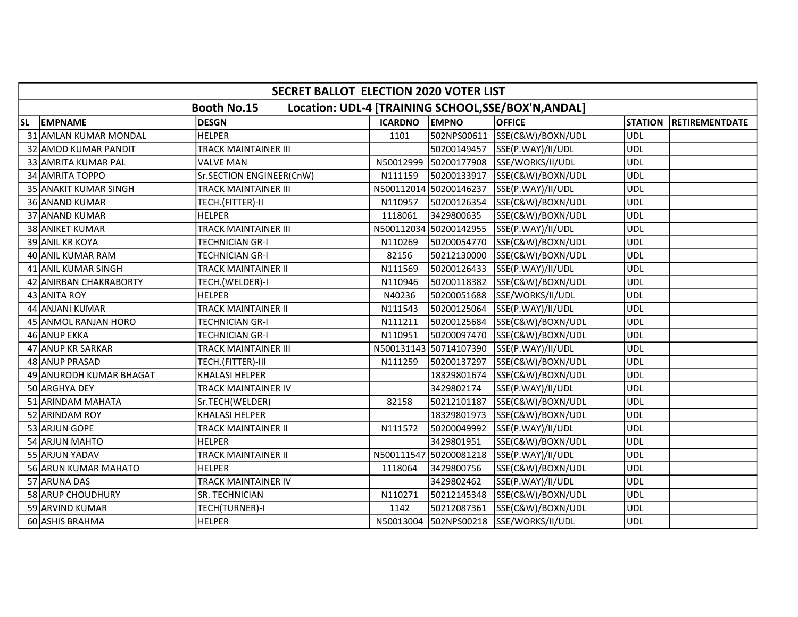|           | SECRET BALLOT ELECTION 2020 VOTER LIST                                    |                             |                |                        |                                        |                |                       |  |  |  |  |
|-----------|---------------------------------------------------------------------------|-----------------------------|----------------|------------------------|----------------------------------------|----------------|-----------------------|--|--|--|--|
|           | Location: UDL-4 [TRAINING SCHOOL, SSE/BOX'N, ANDAL]<br><b>Booth No.15</b> |                             |                |                        |                                        |                |                       |  |  |  |  |
| <b>SL</b> | <b>EMPNAME</b>                                                            | DESGN                       | <b>ICARDNO</b> | <b>EMPNO</b>           | <b>OFFICE</b>                          | <b>STATION</b> | <b>RETIREMENTDATE</b> |  |  |  |  |
|           | 31 AMLAN KUMAR MONDAL                                                     | <b>HELPER</b>               | 1101           | 502NPS00611            | SSE(C&W)/BOXN/UDL                      | <b>UDL</b>     |                       |  |  |  |  |
|           | 32 AMOD KUMAR PANDIT                                                      | TRACK MAINTAINER III        |                | 50200149457            | SSE(P.WAY)/II/UDL                      | <b>UDL</b>     |                       |  |  |  |  |
|           | 33 AMRITA KUMAR PAL                                                       | <b>VALVE MAN</b>            | N50012999      | 50200177908            | SSE/WORKS/II/UDL                       | <b>UDL</b>     |                       |  |  |  |  |
|           | 34 AMRITA TOPPO                                                           | Sr.SECTION ENGINEER(CnW)    | N111159        | 50200133917            | SSE(C&W)/BOXN/UDL                      | <b>UDL</b>     |                       |  |  |  |  |
|           | <b>35 ANAKIT KUMAR SINGH</b>                                              | TRACK MAINTAINER III        |                | N500112014 50200146237 | SSE(P.WAY)/II/UDL                      | <b>UDL</b>     |                       |  |  |  |  |
|           | 36 ANAND KUMAR                                                            | TECH.(FITTER)-II            | N110957        | 50200126354            | SSE(C&W)/BOXN/UDL                      | <b>UDL</b>     |                       |  |  |  |  |
|           | 37 ANAND KUMAR                                                            | <b>HELPER</b>               | 1118061        | 3429800635             | SSE(C&W)/BOXN/UDL                      | <b>UDL</b>     |                       |  |  |  |  |
|           | 38 ANIKET KUMAR                                                           | <b>TRACK MAINTAINER III</b> |                | N500112034 50200142955 | SSE(P.WAY)/II/UDL                      | <b>UDL</b>     |                       |  |  |  |  |
|           | 39 ANIL KR KOYA                                                           | TECHNICIAN GR-I             | N110269        | 50200054770            | SSE(C&W)/BOXN/UDL                      | <b>UDL</b>     |                       |  |  |  |  |
|           | 40 ANIL KUMAR RAM                                                         | <b>TECHNICIAN GR-I</b>      | 82156          | 50212130000            | SSE(C&W)/BOXN/UDL                      | <b>UDL</b>     |                       |  |  |  |  |
|           | 41 ANIL KUMAR SINGH                                                       | TRACK MAINTAINER II         | N111569        | 50200126433            | SSE(P.WAY)/II/UDL                      | <b>UDL</b>     |                       |  |  |  |  |
|           | 42 ANIRBAN CHAKRABORTY                                                    | TECH.(WELDER)-I             | N110946        | 50200118382            | SSE(C&W)/BOXN/UDL                      | <b>UDL</b>     |                       |  |  |  |  |
|           | 43 ANITA ROY                                                              | <b>HELPER</b>               | N40236         | 50200051688            | SSE/WORKS/II/UDL                       | <b>UDL</b>     |                       |  |  |  |  |
|           | 44 ANJANI KUMAR                                                           | TRACK MAINTAINER II         | N111543        | 50200125064            | SSE(P.WAY)/II/UDL                      | <b>UDL</b>     |                       |  |  |  |  |
|           | 45 ANMOL RANJAN HORO                                                      | <b>TECHNICIAN GR-I</b>      | N111211        | 50200125684            | SSE(C&W)/BOXN/UDL                      | <b>UDL</b>     |                       |  |  |  |  |
|           | 46 ANUP EKKA                                                              | <b>TECHNICIAN GR-I</b>      | N110951        | 50200097470            | SSE(C&W)/BOXN/UDL                      | <b>UDL</b>     |                       |  |  |  |  |
|           | 47 ANUP KR SARKAR                                                         | <b>TRACK MAINTAINER III</b> |                | N500131143 50714107390 | SSE(P.WAY)/II/UDL                      | <b>UDL</b>     |                       |  |  |  |  |
|           | 48 ANUP PRASAD                                                            | TECH.(FITTER)-III           | N111259        | 50200137297            | SSE(C&W)/BOXN/UDL                      | <b>UDL</b>     |                       |  |  |  |  |
|           | 49 ANURODH KUMAR BHAGAT                                                   | <b>KHALASI HELPER</b>       |                | 18329801674            | SSE(C&W)/BOXN/UDL                      | <b>UDL</b>     |                       |  |  |  |  |
|           | 50 ARGHYA DEY                                                             | TRACK MAINTAINER IV         |                | 3429802174             | SSE(P.WAY)/II/UDL                      | <b>UDL</b>     |                       |  |  |  |  |
|           | 51 ARINDAM MAHATA                                                         | Sr.TECH(WELDER)             | 82158          | 50212101187            | SSE(C&W)/BOXN/UDL                      | <b>UDL</b>     |                       |  |  |  |  |
|           | 52 ARINDAM ROY                                                            | <b>KHALASI HELPER</b>       |                | 18329801973            | SSE(C&W)/BOXN/UDL                      | <b>UDL</b>     |                       |  |  |  |  |
|           | 53 ARJUN GOPE                                                             | TRACK MAINTAINER II         | N111572        | 50200049992            | SSE(P.WAY)/II/UDL                      | <b>UDL</b>     |                       |  |  |  |  |
|           | 54 ARJUN MAHTO                                                            | HELPER                      |                | 3429801951             | SSE(C&W)/BOXN/UDL                      | <b>UDL</b>     |                       |  |  |  |  |
|           | 55 ARJUN YADAV                                                            | <b>TRACK MAINTAINER II</b>  |                | N500111547 50200081218 | SSE(P.WAY)/II/UDL                      | <b>UDL</b>     |                       |  |  |  |  |
|           | 56 ARUN KUMAR MAHATO                                                      | <b>HELPER</b>               | 1118064        | 3429800756             | SSE(C&W)/BOXN/UDL                      | <b>UDL</b>     |                       |  |  |  |  |
|           | 57 ARUNA DAS                                                              | TRACK MAINTAINER IV         |                | 3429802462             | SSE(P.WAY)/II/UDL                      | <b>UDL</b>     |                       |  |  |  |  |
|           | 58 ARUP CHOUDHURY                                                         | SR. TECHNICIAN              | N110271        | 50212145348            | SSE(C&W)/BOXN/UDL                      | <b>UDL</b>     |                       |  |  |  |  |
|           | 59 ARVIND KUMAR                                                           | TECH(TURNER)-I              | 1142           | 50212087361            | SSE(C&W)/BOXN/UDL                      | <b>UDL</b>     |                       |  |  |  |  |
|           | 60 ASHIS BRAHMA                                                           | <b>HELPER</b>               |                |                        | N50013004 502NPS00218 SSE/WORKS/II/UDL | <b>UDL</b>     |                       |  |  |  |  |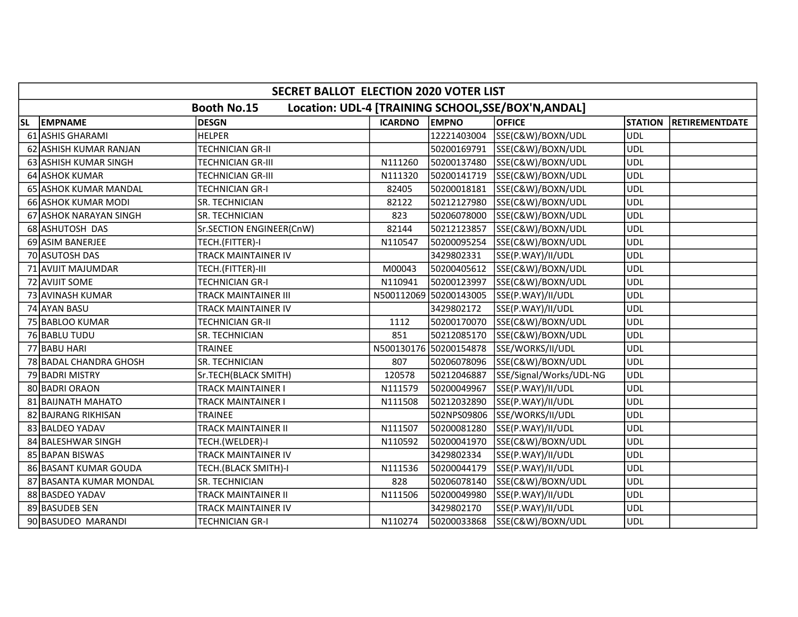|           | <b>SECRET BALLOT ELECTION 2020 VOTER LIST</b>                             |                            |                |                        |                         |                |                       |  |  |  |  |
|-----------|---------------------------------------------------------------------------|----------------------------|----------------|------------------------|-------------------------|----------------|-----------------------|--|--|--|--|
|           | Location: UDL-4 [TRAINING SCHOOL, SSE/BOX'N, ANDAL]<br><b>Booth No.15</b> |                            |                |                        |                         |                |                       |  |  |  |  |
| <b>SL</b> | <b>EMPNAME</b>                                                            | DESGN                      | <b>ICARDNO</b> | <b>EMPNO</b>           | <b>OFFICE</b>           | <b>STATION</b> | <b>RETIREMENTDATE</b> |  |  |  |  |
|           | 61 ASHIS GHARAMI                                                          | <b>HELPER</b>              |                | 12221403004            | SSE(C&W)/BOXN/UDL       | <b>UDL</b>     |                       |  |  |  |  |
|           | 62 ASHISH KUMAR RANJAN                                                    | <b>TECHNICIAN GR-II</b>    |                | 50200169791            | SSE(C&W)/BOXN/UDL       | <b>UDL</b>     |                       |  |  |  |  |
|           | 63 ASHISH KUMAR SINGH                                                     | TECHNICIAN GR-III          | N111260        | 50200137480            | SSE(C&W)/BOXN/UDL       | <b>UDL</b>     |                       |  |  |  |  |
|           | 64 ASHOK KUMAR                                                            | <b>TECHNICIAN GR-III</b>   | N111320        | 50200141719            | SSE(C&W)/BOXN/UDL       | <b>UDL</b>     |                       |  |  |  |  |
|           | 65 ASHOK KUMAR MANDAL                                                     | TECHNICIAN GR-I            | 82405          | 50200018181            | SSE(C&W)/BOXN/UDL       | <b>UDL</b>     |                       |  |  |  |  |
|           | 66 ASHOK KUMAR MODI                                                       | SR. TECHNICIAN             | 82122          | 50212127980            | SSE(C&W)/BOXN/UDL       | <b>UDL</b>     |                       |  |  |  |  |
|           | 67 ASHOK NARAYAN SINGH                                                    | SR. TECHNICIAN             | 823            | 50206078000            | SSE(C&W)/BOXN/UDL       | <b>UDL</b>     |                       |  |  |  |  |
|           | 68 ASHUTOSH DAS                                                           | Sr.SECTION ENGINEER(CnW)   | 82144          | 50212123857            | SSE(C&W)/BOXN/UDL       | <b>UDL</b>     |                       |  |  |  |  |
|           | 69 ASIM BANERJEE                                                          | TECH.(FITTER)-I            | N110547        | 50200095254            | SSE(C&W)/BOXN/UDL       | <b>UDL</b>     |                       |  |  |  |  |
|           | 70 ASUTOSH DAS                                                            | <b>TRACK MAINTAINER IV</b> |                | 3429802331             | SSE(P.WAY)/II/UDL       | <b>UDL</b>     |                       |  |  |  |  |
|           | 71 AVIJIT MAJUMDAR                                                        | TECH.(FITTER)-III          | M00043         | 50200405612            | SSE(C&W)/BOXN/UDL       | <b>UDL</b>     |                       |  |  |  |  |
|           | 72 AVIJIT SOME                                                            | <b>TECHNICIAN GR-I</b>     | N110941        | 50200123997            | SSE(C&W)/BOXN/UDL       | <b>UDL</b>     |                       |  |  |  |  |
|           | 73 AVINASH KUMAR                                                          | TRACK MAINTAINER III       |                | N500112069 50200143005 | SSE(P.WAY)/II/UDL       | UDL            |                       |  |  |  |  |
|           | 74 AYAN BASU                                                              | TRACK MAINTAINER IV        |                | 3429802172             | SSE(P.WAY)/II/UDL       | <b>UDL</b>     |                       |  |  |  |  |
|           | 75 BABLOO KUMAR                                                           | <b>TECHNICIAN GR-II</b>    | 1112           | 50200170070            | SSE(C&W)/BOXN/UDL       | <b>UDL</b>     |                       |  |  |  |  |
|           | 76 BABLU TUDU                                                             | SR. TECHNICIAN             | 851            | 50212085170            | SSE(C&W)/BOXN/UDL       | <b>UDL</b>     |                       |  |  |  |  |
|           | 77 BABU HARI                                                              | <b>TRAINEE</b>             |                | N500130176 50200154878 | SSE/WORKS/II/UDL        | UDL            |                       |  |  |  |  |
|           | 78 BADAL CHANDRA GHOSH                                                    | SR. TECHNICIAN             | 807            | 50206078096            | SSE(C&W)/BOXN/UDL       | UDL            |                       |  |  |  |  |
|           | 79 BADRI MISTRY                                                           | Sr.TECH(BLACK SMITH)       | 120578         | 50212046887            | SSE/Signal/Works/UDL-NG | <b>UDL</b>     |                       |  |  |  |  |
|           | 80 BADRI ORAON                                                            | <b>TRACK MAINTAINER I</b>  | N111579        | 50200049967            | SSE(P.WAY)/II/UDL       | <b>UDL</b>     |                       |  |  |  |  |
|           | 81 BAIJNATH MAHATO                                                        | TRACK MAINTAINER I         | N111508        | 50212032890            | SSE(P.WAY)/II/UDL       | <b>UDL</b>     |                       |  |  |  |  |
|           | 82 BAJRANG RIKHISAN                                                       | <b>TRAINEE</b>             |                | 502NPS09806            | SSE/WORKS/II/UDL        | <b>UDL</b>     |                       |  |  |  |  |
|           | 83 BALDEO YADAV                                                           | TRACK MAINTAINER II        | N111507        | 50200081280            | SSE(P.WAY)/II/UDL       | <b>UDL</b>     |                       |  |  |  |  |
|           | 84 BALESHWAR SINGH                                                        | TECH.(WELDER)-I            | N110592        | 50200041970            | SSE(C&W)/BOXN/UDL       | <b>UDL</b>     |                       |  |  |  |  |
|           | 85 BAPAN BISWAS                                                           | TRACK MAINTAINER IV        |                | 3429802334             | SSE(P.WAY)/II/UDL       | <b>UDL</b>     |                       |  |  |  |  |
|           | 86 BASANT KUMAR GOUDA                                                     | TECH.(BLACK SMITH)-I       | N111536        | 50200044179            | SSE(P.WAY)/II/UDL       | UDL            |                       |  |  |  |  |
|           | 87 BASANTA KUMAR MONDAL                                                   | SR. TECHNICIAN             | 828            | 50206078140            | SSE(C&W)/BOXN/UDL       | <b>UDL</b>     |                       |  |  |  |  |
|           | 88 BASDEO YADAV                                                           | TRACK MAINTAINER II        | N111506        | 50200049980            | SSE(P.WAY)/II/UDL       | <b>UDL</b>     |                       |  |  |  |  |
|           | 89 BASUDEB SEN                                                            | TRACK MAINTAINER IV        |                | 3429802170             | SSE(P.WAY)/II/UDL       | <b>UDL</b>     |                       |  |  |  |  |
|           | 90 BASUDEO MARANDI                                                        | <b>TECHNICIAN GR-I</b>     | N110274        | 50200033868            | SSE(C&W)/BOXN/UDL       | <b>UDL</b>     |                       |  |  |  |  |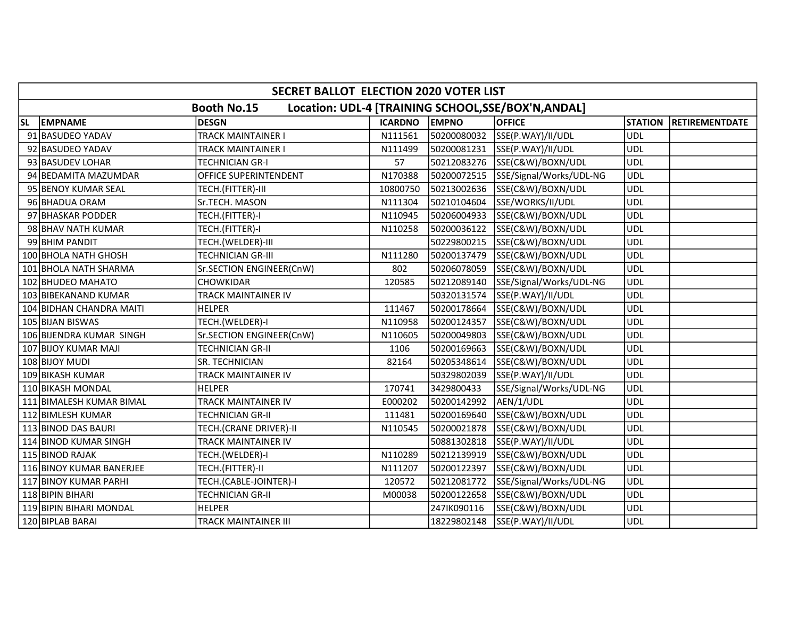|           | SECRET BALLOT ELECTION 2020 VOTER LIST |                           |                |              |                                                     |                |                       |  |  |  |
|-----------|----------------------------------------|---------------------------|----------------|--------------|-----------------------------------------------------|----------------|-----------------------|--|--|--|
|           |                                        | <b>Booth No.15</b>        |                |              | Location: UDL-4 [TRAINING SCHOOL, SSE/BOX'N, ANDAL] |                |                       |  |  |  |
| <b>SL</b> | <b>EMPNAME</b>                         | <b>DESGN</b>              | <b>ICARDNO</b> | <b>EMPNO</b> | <b>OFFICE</b>                                       | <b>STATION</b> | <b>RETIREMENTDATE</b> |  |  |  |
|           | 91 BASUDEO YADAV                       | <b>TRACK MAINTAINER I</b> | N111561        | 50200080032  | SSE(P.WAY)/II/UDL                                   | <b>UDL</b>     |                       |  |  |  |
|           | 92 BASUDEO YADAV                       | <b>TRACK MAINTAINER I</b> | N111499        | 50200081231  | SSE(P.WAY)/II/UDL                                   | <b>UDL</b>     |                       |  |  |  |
|           | 93 BASUDEV LOHAR                       | <b>TECHNICIAN GR-I</b>    | 57             | 50212083276  | SSE(C&W)/BOXN/UDL                                   | <b>UDL</b>     |                       |  |  |  |
|           | 94 BEDAMITA MAZUMDAR                   | OFFICE SUPERINTENDENT     | N170388        | 50200072515  | SSE/Signal/Works/UDL-NG                             | <b>UDL</b>     |                       |  |  |  |
|           | 95 BENOY KUMAR SEAL                    | TECH.(FITTER)-III         | 10800750       | 50213002636  | SSE(C&W)/BOXN/UDL                                   | <b>UDL</b>     |                       |  |  |  |
|           | 96 BHADUA ORAM                         | Sr.TECH. MASON            | N111304        | 50210104604  | SSE/WORKS/II/UDL                                    | <b>UDL</b>     |                       |  |  |  |
|           | 97 BHASKAR PODDER                      | TECH.(FITTER)-I           | N110945        | 50206004933  | SSE(C&W)/BOXN/UDL                                   | <b>UDL</b>     |                       |  |  |  |
|           | 98 BHAV NATH KUMAR                     | TECH.(FITTER)-I           | N110258        | 50200036122  | SSE(C&W)/BOXN/UDL                                   | <b>UDL</b>     |                       |  |  |  |
|           | 99 BHIM PANDIT                         | TECH.(WELDER)-III         |                | 50229800215  | SSE(C&W)/BOXN/UDL                                   | <b>UDL</b>     |                       |  |  |  |
|           | 100 BHOLA NATH GHOSH                   | <b>TECHNICIAN GR-III</b>  | N111280        | 50200137479  | SSE(C&W)/BOXN/UDL                                   | <b>UDL</b>     |                       |  |  |  |
|           | 101 BHOLA NATH SHARMA                  | Sr.SECTION ENGINEER(CnW)  | 802            | 50206078059  | SSE(C&W)/BOXN/UDL                                   | <b>UDL</b>     |                       |  |  |  |
|           | 102 BHUDEO MAHATO                      | CHOWKIDAR                 | 120585         | 50212089140  | SSE/Signal/Works/UDL-NG                             | <b>UDL</b>     |                       |  |  |  |
|           | 103 BIBEKANAND KUMAR                   | TRACK MAINTAINER IV       |                | 50320131574  | SSE(P.WAY)/II/UDL                                   | <b>UDL</b>     |                       |  |  |  |
|           | 104 BIDHAN CHANDRA MAITI               | <b>HELPER</b>             | 111467         | 50200178664  | SSE(C&W)/BOXN/UDL                                   | <b>UDL</b>     |                       |  |  |  |
|           | 105 BIJAN BISWAS                       | TECH.(WELDER)-I           | N110958        | 50200124357  | SSE(C&W)/BOXN/UDL                                   | <b>UDL</b>     |                       |  |  |  |
|           | 106 BIJENDRA KUMAR SINGH               | Sr.SECTION ENGINEER(CnW)  | N110605        | 50200049803  | SSE(C&W)/BOXN/UDL                                   | <b>UDL</b>     |                       |  |  |  |
|           | 107 BIJOY KUMAR MAJI                   | <b>TECHNICIAN GR-II</b>   | 1106           | 50200169663  | SSE(C&W)/BOXN/UDL                                   | <b>UDL</b>     |                       |  |  |  |
|           | 108 BIJOY MUDI                         | SR. TECHNICIAN            | 82164          | 50205348614  | SSE(C&W)/BOXN/UDL                                   | <b>UDL</b>     |                       |  |  |  |
|           | 109 BIKASH KUMAR                       | TRACK MAINTAINER IV       |                | 50329802039  | SSE(P.WAY)/II/UDL                                   | <b>UDL</b>     |                       |  |  |  |
|           | 110 BIKASH MONDAL                      | <b>HELPER</b>             | 170741         | 3429800433   | SSE/Signal/Works/UDL-NG                             | <b>UDL</b>     |                       |  |  |  |
|           | 111 BIMALESH KUMAR BIMAL               | TRACK MAINTAINER IV       | E000202        | 50200142992  | AEN/1/UDL                                           | <b>UDL</b>     |                       |  |  |  |
|           | 112 BIMLESH KUMAR                      | <b>TECHNICIAN GR-II</b>   | 111481         | 50200169640  | SSE(C&W)/BOXN/UDL                                   | <b>UDL</b>     |                       |  |  |  |
|           | 113 BINOD DAS BAURI                    | TECH.(CRANE DRIVER)-II    | N110545        | 50200021878  | SSE(C&W)/BOXN/UDL                                   | <b>UDL</b>     |                       |  |  |  |
|           | 114 BINOD KUMAR SINGH                  | TRACK MAINTAINER IV       |                | 50881302818  | SSE(P.WAY)/II/UDL                                   | <b>UDL</b>     |                       |  |  |  |
|           | 115 BINOD RAJAK                        | TECH.(WELDER)-I           | N110289        | 50212139919  | SSE(C&W)/BOXN/UDL                                   | <b>UDL</b>     |                       |  |  |  |
|           | 116 BINOY KUMAR BANERJEE               | TECH.(FITTER)-II          | N111207        | 50200122397  | SSE(C&W)/BOXN/UDL                                   | <b>UDL</b>     |                       |  |  |  |
|           | 117 BINOY KUMAR PARHI                  | TECH.(CABLE-JOINTER)-I    | 120572         | 50212081772  | SSE/Signal/Works/UDL-NG                             | <b>UDL</b>     |                       |  |  |  |
|           | 118 BIPIN BIHARI                       | <b>TECHNICIAN GR-II</b>   | M00038         | 50200122658  | SSE(C&W)/BOXN/UDL                                   | <b>UDL</b>     |                       |  |  |  |
|           | 119 BIPIN BIHARI MONDAL                | <b>HELPER</b>             |                | 247IK090116  | SSE(C&W)/BOXN/UDL                                   | <b>UDL</b>     |                       |  |  |  |
|           | 120 BIPLAB BARAI                       | TRACK MAINTAINER III      |                | 18229802148  | SSE(P.WAY)/II/UDL                                   | <b>UDL</b>     |                       |  |  |  |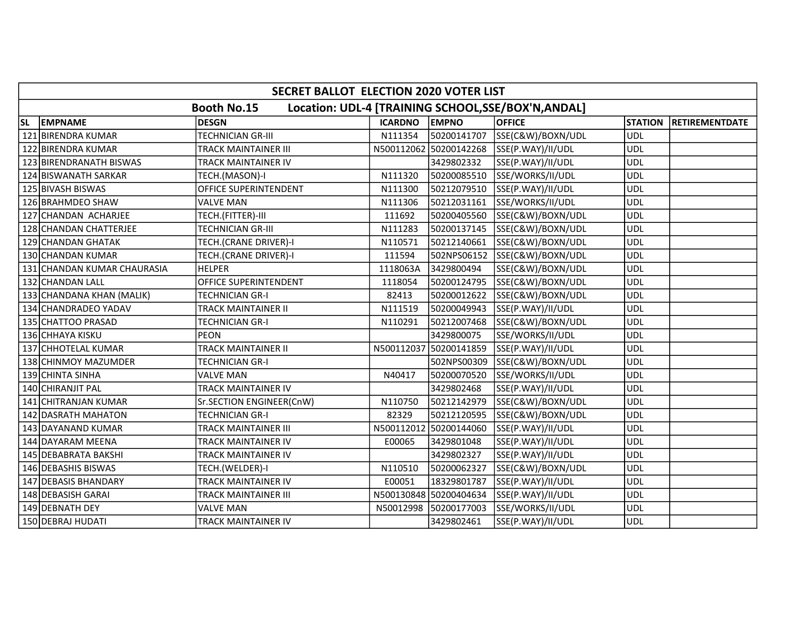|           | SECRET BALLOT ELECTION 2020 VOTER LIST                                    |                             |                |                        |                   |                |                       |  |  |  |  |
|-----------|---------------------------------------------------------------------------|-----------------------------|----------------|------------------------|-------------------|----------------|-----------------------|--|--|--|--|
|           | <b>Booth No.15</b><br>Location: UDL-4 [TRAINING SCHOOL, SSE/BOX'N, ANDAL] |                             |                |                        |                   |                |                       |  |  |  |  |
| <b>SL</b> | <b>EMPNAME</b>                                                            | <b>DESGN</b>                | <b>ICARDNO</b> | <b>EMPNO</b>           | <b>OFFICE</b>     | <b>STATION</b> | <b>RETIREMENTDATE</b> |  |  |  |  |
|           | 121 BIRENDRA KUMAR                                                        | <b>TECHNICIAN GR-III</b>    | N111354        | 50200141707            | SSE(C&W)/BOXN/UDL | <b>UDL</b>     |                       |  |  |  |  |
|           | 122 BIRENDRA KUMAR                                                        | TRACK MAINTAINER III        |                | N500112062 50200142268 | SSE(P.WAY)/II/UDL | <b>UDL</b>     |                       |  |  |  |  |
|           | 123 BIRENDRANATH BISWAS                                                   | <b>TRACK MAINTAINER IV</b>  |                | 3429802332             | SSE(P.WAY)/II/UDL | <b>UDL</b>     |                       |  |  |  |  |
|           | 124 BISWANATH SARKAR                                                      | TECH.(MASON)-I              | N111320        | 50200085510            | SSE/WORKS/II/UDL  | <b>UDL</b>     |                       |  |  |  |  |
|           | 125 BIVASH BISWAS                                                         | OFFICE SUPERINTENDENT       | N111300        | 50212079510            | SSE(P.WAY)/II/UDL | UDL            |                       |  |  |  |  |
|           | 126 BRAHMDEO SHAW                                                         | <b>VALVE MAN</b>            | N111306        | 50212031161            | SSE/WORKS/II/UDL  | <b>UDL</b>     |                       |  |  |  |  |
|           | 127 CHANDAN ACHARJEE                                                      | TECH.(FITTER)-III           | 111692         | 50200405560            | SSE(C&W)/BOXN/UDL | <b>UDL</b>     |                       |  |  |  |  |
|           | 128 CHANDAN CHATTERJEE                                                    | <b>TECHNICIAN GR-III</b>    | N111283        | 50200137145            | SSE(C&W)/BOXN/UDL | <b>UDL</b>     |                       |  |  |  |  |
|           | 129 CHANDAN GHATAK                                                        | TECH.(CRANE DRIVER)-I       | N110571        | 50212140661            | SSE(C&W)/BOXN/UDL | <b>UDL</b>     |                       |  |  |  |  |
|           | 130 CHANDAN KUMAR                                                         | TECH.(CRANE DRIVER)-I       | 111594         | 502NPS06152            | SSE(C&W)/BOXN/UDL | <b>UDL</b>     |                       |  |  |  |  |
|           | 131 CHANDAN KUMAR CHAURASIA                                               | <b>HELPER</b>               | 1118063A       | 3429800494             | SSE(C&W)/BOXN/UDL | <b>UDL</b>     |                       |  |  |  |  |
|           | 132 CHANDAN LALL                                                          | OFFICE SUPERINTENDENT       | 1118054        | 50200124795            | SSE(C&W)/BOXN/UDL | <b>UDL</b>     |                       |  |  |  |  |
|           | 133 CHANDANA KHAN (MALIK)                                                 | <b>TECHNICIAN GR-I</b>      | 82413          | 50200012622            | SSE(C&W)/BOXN/UDL | <b>UDL</b>     |                       |  |  |  |  |
|           | 134 CHANDRADEO YADAV                                                      | <b>TRACK MAINTAINER II</b>  | N111519        | 50200049943            | SSE(P.WAY)/II/UDL | <b>UDL</b>     |                       |  |  |  |  |
|           | 135 CHATTOO PRASAD                                                        | <b>TECHNICIAN GR-I</b>      | N110291        | 50212007468            | SSE(C&W)/BOXN/UDL | <b>UDL</b>     |                       |  |  |  |  |
|           | 136 CHHAYA KISKU                                                          | PEON                        |                | 3429800075             | SSE/WORKS/II/UDL  | <b>UDL</b>     |                       |  |  |  |  |
|           | 137 CHHOTELAL KUMAR                                                       | <b>TRACK MAINTAINER II</b>  |                | N500112037 50200141859 | SSE(P.WAY)/II/UDL | <b>UDL</b>     |                       |  |  |  |  |
|           | 138 CHINMOY MAZUMDER                                                      | <b>TECHNICIAN GR-I</b>      |                | 502NPS00309            | SSE(C&W)/BOXN/UDL | <b>UDL</b>     |                       |  |  |  |  |
|           | 139 CHINTA SINHA                                                          | <b>VALVE MAN</b>            | N40417         | 50200070520            | SSE/WORKS/II/UDL  | <b>UDL</b>     |                       |  |  |  |  |
|           | 140 CHIRANJIT PAL                                                         | TRACK MAINTAINER IV         |                | 3429802468             | SSE(P.WAY)/II/UDL | <b>UDL</b>     |                       |  |  |  |  |
|           | 141 CHITRANJAN KUMAR                                                      | Sr.SECTION ENGINEER(CnW)    | N110750        | 50212142979            | SSE(C&W)/BOXN/UDL | <b>UDL</b>     |                       |  |  |  |  |
|           | <b>142 DASRATH MAHATON</b>                                                | <b>TECHNICIAN GR-I</b>      | 82329          | 50212120595            | SSE(C&W)/BOXN/UDL | <b>UDL</b>     |                       |  |  |  |  |
|           | 143 DAYANAND KUMAR                                                        | <b>TRACK MAINTAINER III</b> | N500112012     | 50200144060            | SSE(P.WAY)/II/UDL | <b>UDL</b>     |                       |  |  |  |  |
|           | 144 DAYARAM MEENA                                                         | TRACK MAINTAINER IV         | E00065         | 3429801048             | SSE(P.WAY)/II/UDL | <b>UDL</b>     |                       |  |  |  |  |
|           | 145 DEBABRATA BAKSHI                                                      | <b>TRACK MAINTAINER IV</b>  |                | 3429802327             | SSE(P.WAY)/II/UDL | <b>UDL</b>     |                       |  |  |  |  |
|           | 146 DEBASHIS BISWAS                                                       | TECH.(WELDER)-I             | N110510        | 50200062327            | SSE(C&W)/BOXN/UDL | <b>UDL</b>     |                       |  |  |  |  |
|           | 147 DEBASIS BHANDARY                                                      | TRACK MAINTAINER IV         | E00051         | 18329801787            | SSE(P.WAY)/II/UDL | <b>UDL</b>     |                       |  |  |  |  |
|           | 148 DEBASISH GARAI                                                        | <b>TRACK MAINTAINER III</b> |                | N500130848 50200404634 | SSE(P.WAY)/II/UDL | <b>UDL</b>     |                       |  |  |  |  |
|           | 149 DEBNATH DEY                                                           | <b>VALVE MAN</b>            | N50012998      | 50200177003            | SSE/WORKS/II/UDL  | <b>UDL</b>     |                       |  |  |  |  |
|           | 150 DEBRAJ HUDATI                                                         | TRACK MAINTAINER IV         |                | 3429802461             | SSE(P.WAY)/II/UDL | <b>UDL</b>     |                       |  |  |  |  |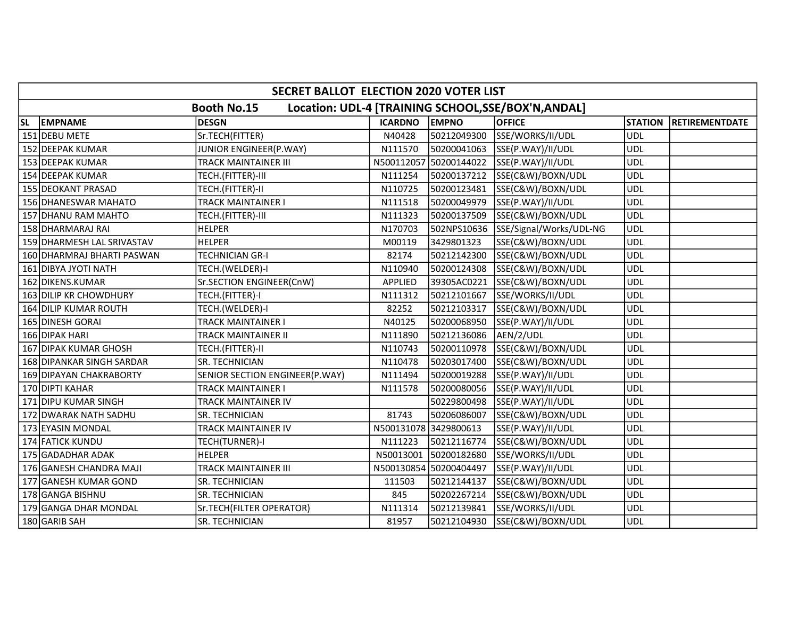|           | SECRET BALLOT ELECTION 2020 VOTER LIST                                    |                                |                       |                        |                         |                |                       |  |  |  |  |
|-----------|---------------------------------------------------------------------------|--------------------------------|-----------------------|------------------------|-------------------------|----------------|-----------------------|--|--|--|--|
|           | <b>Booth No.15</b><br>Location: UDL-4 [TRAINING SCHOOL, SSE/BOX'N, ANDAL] |                                |                       |                        |                         |                |                       |  |  |  |  |
| <b>SL</b> | <b>EMPNAME</b>                                                            | <b>DESGN</b>                   | <b>ICARDNO</b>        | <b>EMPNO</b>           | <b>OFFICE</b>           | <b>STATION</b> | <b>RETIREMENTDATE</b> |  |  |  |  |
|           | 151 DEBU METE                                                             | Sr.TECH(FITTER)                | N40428                | 50212049300            | SSE/WORKS/II/UDL        | <b>UDL</b>     |                       |  |  |  |  |
|           | 152 DEEPAK KUMAR                                                          | JUNIOR ENGINEER(P.WAY)         | N111570               | 50200041063            | SSE(P.WAY)/II/UDL       | <b>UDL</b>     |                       |  |  |  |  |
|           | 153 DEEPAK KUMAR                                                          | <b>TRACK MAINTAINER III</b>    |                       | N500112057 50200144022 | SSE(P.WAY)/II/UDL       | <b>UDL</b>     |                       |  |  |  |  |
|           | 154 DEEPAK KUMAR                                                          | TECH.(FITTER)-III              | N111254               | 50200137212            | SSE(C&W)/BOXN/UDL       | <b>UDL</b>     |                       |  |  |  |  |
|           | <b>155 DEOKANT PRASAD</b>                                                 | TECH.(FITTER)-II               | N110725               | 50200123481            | SSE(C&W)/BOXN/UDL       | <b>UDL</b>     |                       |  |  |  |  |
|           | 156 DHANESWAR MAHATO                                                      | <b>TRACK MAINTAINER I</b>      | N111518               | 50200049979            | SSE(P.WAY)/II/UDL       | <b>UDL</b>     |                       |  |  |  |  |
|           | 157 DHANU RAM MAHTO                                                       | TECH.(FITTER)-III              | N111323               | 50200137509            | SSE(C&W)/BOXN/UDL       | <b>UDL</b>     |                       |  |  |  |  |
|           | 158 DHARMARAJ RAI                                                         | <b>HELPER</b>                  | N170703               | 502NPS10636            | SSE/Signal/Works/UDL-NG | <b>UDL</b>     |                       |  |  |  |  |
|           | 159 DHARMESH LAL SRIVASTAV                                                | <b>HELPER</b>                  | M00119                | 3429801323             | SSE(C&W)/BOXN/UDL       | <b>UDL</b>     |                       |  |  |  |  |
|           | 160 DHARMRAJ BHARTI PASWAN                                                | <b>TECHNICIAN GR-I</b>         | 82174                 | 50212142300            | SSE(C&W)/BOXN/UDL       | <b>UDL</b>     |                       |  |  |  |  |
|           | 161 DIBYA JYOTI NATH                                                      | TECH.(WELDER)-I                | N110940               | 50200124308            | SSE(C&W)/BOXN/UDL       | <b>UDL</b>     |                       |  |  |  |  |
|           | 162 DIKENS.KUMAR                                                          | Sr.SECTION ENGINEER(CnW)       | APPLIED               | 39305AC0221            | SSE(C&W)/BOXN/UDL       | <b>UDL</b>     |                       |  |  |  |  |
|           | 163 DILIP KR CHOWDHURY                                                    | TECH.(FITTER)-I                | N111312               | 50212101667            | SSE/WORKS/II/UDL        | <b>UDL</b>     |                       |  |  |  |  |
|           | 164 DILIP KUMAR ROUTH                                                     | TECH.(WELDER)-I                | 82252                 | 50212103317            | SSE(C&W)/BOXN/UDL       | <b>UDL</b>     |                       |  |  |  |  |
|           | 165 DINESH GORAI                                                          | <b>TRACK MAINTAINER I</b>      | N40125                | 50200068950            | SSE(P.WAY)/II/UDL       | <b>UDL</b>     |                       |  |  |  |  |
|           | 166 DIPAK HARI                                                            | TRACK MAINTAINER II            | N111890               | 50212136086            | AEN/2/UDL               | <b>UDL</b>     |                       |  |  |  |  |
|           | 167 DIPAK KUMAR GHOSH                                                     | TECH.(FITTER)-II               | N110743               | 50200110978            | SSE(C&W)/BOXN/UDL       | <b>UDL</b>     |                       |  |  |  |  |
|           | 168 DIPANKAR SINGH SARDAR                                                 | SR. TECHNICIAN                 | N110478               | 50203017400            | SSE(C&W)/BOXN/UDL       | <b>UDL</b>     |                       |  |  |  |  |
|           | 169 DIPAYAN CHAKRABORTY                                                   | SENIOR SECTION ENGINEER(P.WAY) | N111494               | 50200019288            | SSE(P.WAY)/II/UDL       | <b>UDL</b>     |                       |  |  |  |  |
|           | 170 DIPTI KAHAR                                                           | <b>TRACK MAINTAINER I</b>      | N111578               | 50200080056            | SSE(P.WAY)/II/UDL       | <b>UDL</b>     |                       |  |  |  |  |
|           | 171 DIPU KUMAR SINGH                                                      | TRACK MAINTAINER IV            |                       | 50229800498            | SSE(P.WAY)/II/UDL       | <b>UDL</b>     |                       |  |  |  |  |
|           | 172 DWARAK NATH SADHU                                                     | <b>SR. TECHNICIAN</b>          | 81743                 | 50206086007            | SSE(C&W)/BOXN/UDL       | <b>UDL</b>     |                       |  |  |  |  |
|           | 173 EYASIN MONDAL                                                         | TRACK MAINTAINER IV            | N500131078 3429800613 |                        | SSE(P.WAY)/II/UDL       | <b>UDL</b>     |                       |  |  |  |  |
|           | 174 FATICK KUNDU                                                          | TECH(TURNER)-I                 | N111223               | 50212116774            | SSE(C&W)/BOXN/UDL       | <b>UDL</b>     |                       |  |  |  |  |
|           | 175 GADADHAR ADAK                                                         | <b>HELPER</b>                  | N50013001             | 50200182680            | SSE/WORKS/II/UDL        | <b>UDL</b>     |                       |  |  |  |  |
|           | 176 GANESH CHANDRA MAJI                                                   | <b>TRACK MAINTAINER III</b>    |                       | N500130854 50200404497 | SSE(P.WAY)/II/UDL       | <b>UDL</b>     |                       |  |  |  |  |
|           | 177 GANESH KUMAR GOND                                                     | SR. TECHNICIAN                 | 111503                | 50212144137            | SSE(C&W)/BOXN/UDL       | <b>UDL</b>     |                       |  |  |  |  |
|           | 178 GANGA BISHNU                                                          | SR. TECHNICIAN                 | 845                   | 50202267214            | SSE(C&W)/BOXN/UDL       | <b>UDL</b>     |                       |  |  |  |  |
|           | 179 GANGA DHAR MONDAL                                                     | Sr.TECH(FILTER OPERATOR)       | N111314               | 50212139841            | SSE/WORKS/II/UDL        | <b>UDL</b>     |                       |  |  |  |  |
|           | 180 GARIB SAH                                                             | SR. TECHNICIAN                 | 81957                 | 50212104930            | SSE(C&W)/BOXN/UDL       | <b>UDL</b>     |                       |  |  |  |  |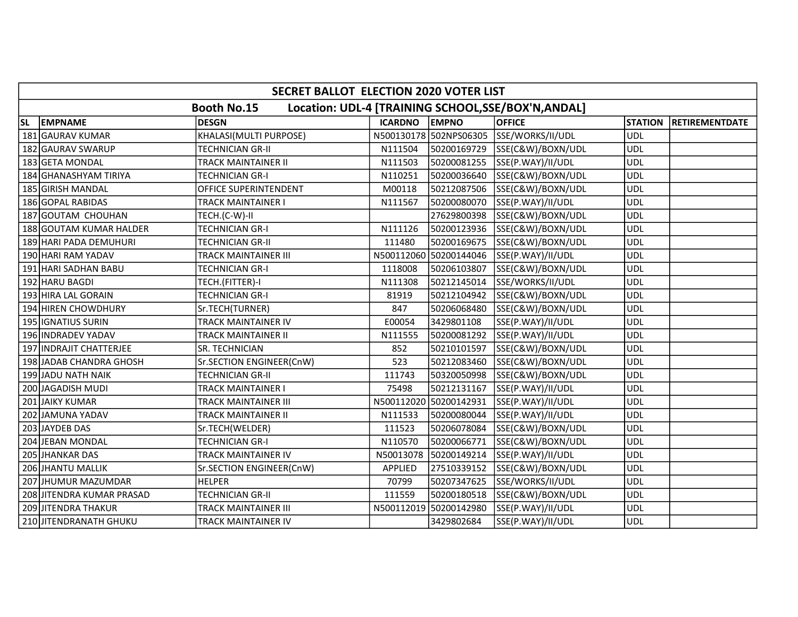|           | SECRET BALLOT ELECTION 2020 VOTER LIST                                   |                             |                |                        |                   |                |                       |  |  |  |  |
|-----------|--------------------------------------------------------------------------|-----------------------------|----------------|------------------------|-------------------|----------------|-----------------------|--|--|--|--|
|           | Location: UDL-4 [TRAINING SCHOOL, SE/BOX'N, ANDAL]<br><b>Booth No.15</b> |                             |                |                        |                   |                |                       |  |  |  |  |
| <b>SL</b> | <b>EMPNAME</b>                                                           | DESGN                       | <b>ICARDNO</b> | <b>EMPNO</b>           | <b>OFFICE</b>     | <b>STATION</b> | <b>RETIREMENTDATE</b> |  |  |  |  |
|           | 181 GAURAV KUMAR                                                         | KHALASI(MULTI PURPOSE)      |                | N500130178 502NPS06305 | SSE/WORKS/II/UDL  | <b>UDL</b>     |                       |  |  |  |  |
|           | 182 GAURAV SWARUP                                                        | <b>TECHNICIAN GR-II</b>     | N111504        | 50200169729            | SSE(C&W)/BOXN/UDL | <b>UDL</b>     |                       |  |  |  |  |
|           | 183 GETA MONDAL                                                          | TRACK MAINTAINER II         | N111503        | 50200081255            | SSE(P.WAY)/II/UDL | <b>UDL</b>     |                       |  |  |  |  |
|           | 184 GHANASHYAM TIRIYA                                                    | <b>TECHNICIAN GR-I</b>      | N110251        | 50200036640            | SSE(C&W)/BOXN/UDL | <b>UDL</b>     |                       |  |  |  |  |
|           | 185 GIRISH MANDAL                                                        | OFFICE SUPERINTENDENT       | M00118         | 50212087506            | SSE(C&W)/BOXN/UDL | <b>UDL</b>     |                       |  |  |  |  |
|           | 186 GOPAL RABIDAS                                                        | <b>TRACK MAINTAINER I</b>   | N111567        | 50200080070            | SSE(P.WAY)/II/UDL | <b>UDL</b>     |                       |  |  |  |  |
|           | 187 GOUTAM CHOUHAN                                                       | TECH.(C-W)-II               |                | 27629800398            | SSE(C&W)/BOXN/UDL | <b>UDL</b>     |                       |  |  |  |  |
|           | 188 GOUTAM KUMAR HALDER                                                  | <b>TECHNICIAN GR-I</b>      | N111126        | 50200123936            | SSE(C&W)/BOXN/UDL | <b>UDL</b>     |                       |  |  |  |  |
|           | 189 HARI PADA DEMUHURI                                                   | TECHNICIAN GR-II            | 111480         | 50200169675            | SSE(C&W)/BOXN/UDL | <b>UDL</b>     |                       |  |  |  |  |
|           | 190 HARI RAM YADAV                                                       | <b>TRACK MAINTAINER III</b> |                | N500112060 50200144046 | SSE(P.WAY)/II/UDL | <b>UDL</b>     |                       |  |  |  |  |
|           | 191 HARI SADHAN BABU                                                     | <b>TECHNICIAN GR-I</b>      | 1118008        | 50206103807            | SSE(C&W)/BOXN/UDL | <b>UDL</b>     |                       |  |  |  |  |
|           | 192 HARU BAGDI                                                           | TECH.(FITTER)-I             | N111308        | 50212145014            | SSE/WORKS/II/UDL  | <b>UDL</b>     |                       |  |  |  |  |
|           | 193 HIRA LAL GORAIN                                                      | <b>TECHNICIAN GR-I</b>      | 81919          | 50212104942            | SSE(C&W)/BOXN/UDL | <b>UDL</b>     |                       |  |  |  |  |
|           | 194 HIREN CHOWDHURY                                                      | Sr.TECH(TURNER)             | 847            | 50206068480            | SSE(C&W)/BOXN/UDL | <b>UDL</b>     |                       |  |  |  |  |
|           | 195   IGNATIUS SURIN                                                     | <b>TRACK MAINTAINER IV</b>  | E00054         | 3429801108             | SSE(P.WAY)/II/UDL | <b>UDL</b>     |                       |  |  |  |  |
|           | 196 INDRADEV YADAV                                                       | <b>TRACK MAINTAINER II</b>  | N111555        | 50200081292            | SSE(P.WAY)/II/UDL | <b>UDL</b>     |                       |  |  |  |  |
|           | 197 INDRAJIT CHATTERJEE                                                  | <b>SR. TECHNICIAN</b>       | 852            | 50210101597            | SSE(C&W)/BOXN/UDL | <b>UDL</b>     |                       |  |  |  |  |
|           | 198 JADAB CHANDRA GHOSH                                                  | Sr.SECTION ENGINEER(CnW)    | 523            | 50212083460            | SSE(C&W)/BOXN/UDL | <b>UDL</b>     |                       |  |  |  |  |
|           | 199 JADU NATH NAIK                                                       | <b>TECHNICIAN GR-II</b>     | 111743         | 50320050998            | SSE(C&W)/BOXN/UDL | <b>UDL</b>     |                       |  |  |  |  |
|           | 200 JAGADISH MUDI                                                        | <b>TRACK MAINTAINER I</b>   | 75498          | 50212131167            | SSE(P.WAY)/II/UDL | <b>UDL</b>     |                       |  |  |  |  |
|           | 201 JAIKY KUMAR                                                          | <b>TRACK MAINTAINER III</b> |                | N500112020 50200142931 | SSE(P.WAY)/II/UDL | <b>UDL</b>     |                       |  |  |  |  |
|           | 202 JAMUNA YADAV                                                         | <b>TRACK MAINTAINER II</b>  | N111533        | 50200080044            | SSE(P.WAY)/II/UDL | <b>UDL</b>     |                       |  |  |  |  |
|           | 203 JAYDEB DAS                                                           | Sr.TECH(WELDER)             | 111523         | 50206078084            | SSE(C&W)/BOXN/UDL | <b>UDL</b>     |                       |  |  |  |  |
|           | 204 JEBAN MONDAL                                                         | <b>TECHNICIAN GR-I</b>      | N110570        | 50200066771            | SSE(C&W)/BOXN/UDL | <b>UDL</b>     |                       |  |  |  |  |
|           | 205 JHANKAR DAS                                                          | TRACK MAINTAINER IV         | N50013078      | 50200149214            | SSE(P.WAY)/II/UDL | <b>UDL</b>     |                       |  |  |  |  |
|           | 206 JHANTU MALLIK                                                        | Sr.SECTION ENGINEER(CnW)    | APPLIED        | 27510339152            | SSE(C&W)/BOXN/UDL | <b>UDL</b>     |                       |  |  |  |  |
|           | 207 JHUMUR MAZUMDAR                                                      | <b>HELPER</b>               | 70799          | 50207347625            | SSE/WORKS/II/UDL  | <b>UDL</b>     |                       |  |  |  |  |
|           | 208 JITENDRA KUMAR PRASAD                                                | <b>TECHNICIAN GR-II</b>     | 111559         | 50200180518            | SSE(C&W)/BOXN/UDL | <b>UDL</b>     |                       |  |  |  |  |
|           | 209 JITENDRA THAKUR                                                      | <b>TRACK MAINTAINER III</b> |                | N500112019 50200142980 | SSE(P.WAY)/II/UDL | <b>UDL</b>     |                       |  |  |  |  |
|           | 210 JITENDRANATH GHUKU                                                   | TRACK MAINTAINER IV         |                | 3429802684             | SSE(P.WAY)/II/UDL | <b>UDL</b>     |                       |  |  |  |  |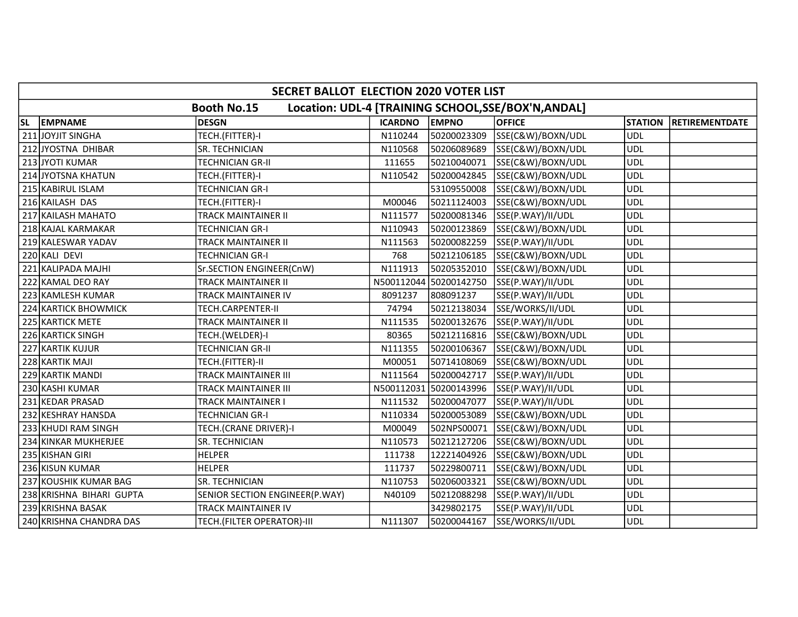|           | <b>SECRET BALLOT ELECTION 2020 VOTER LIST</b>                             |                                |                |                        |                   |                |                       |  |  |  |
|-----------|---------------------------------------------------------------------------|--------------------------------|----------------|------------------------|-------------------|----------------|-----------------------|--|--|--|
|           | Location: UDL-4 [TRAINING SCHOOL, SSE/BOX'N, ANDAL]<br><b>Booth No.15</b> |                                |                |                        |                   |                |                       |  |  |  |
| <b>SL</b> | <b>EMPNAME</b>                                                            | DESGN                          | <b>ICARDNO</b> | <b>EMPNO</b>           | <b>OFFICE</b>     | <b>STATION</b> | <b>RETIREMENTDATE</b> |  |  |  |
|           | 211 JOYJIT SINGHA                                                         | TECH.(FITTER)-I                | N110244        | 50200023309            | SSE(C&W)/BOXN/UDL | <b>UDL</b>     |                       |  |  |  |
|           | 212 JYOSTNA DHIBAR                                                        | SR. TECHNICIAN                 | N110568        | 50206089689            | SSE(C&W)/BOXN/UDL | <b>UDL</b>     |                       |  |  |  |
|           | 213 JYOTI KUMAR                                                           | <b>TECHNICIAN GR-II</b>        | 111655         | 50210040071            | SSE(C&W)/BOXN/UDL | <b>UDL</b>     |                       |  |  |  |
|           | 214 JYOTSNA KHATUN                                                        | TECH.(FITTER)-I                | N110542        | 50200042845            | SSE(C&W)/BOXN/UDL | <b>UDL</b>     |                       |  |  |  |
|           | 215 KABIRUL ISLAM                                                         | TECHNICIAN GR-I                |                | 53109550008            | SSE(C&W)/BOXN/UDL | <b>UDL</b>     |                       |  |  |  |
|           | 216 KAILASH DAS                                                           | TECH.(FITTER)-I                | M00046         | 50211124003            | SSE(C&W)/BOXN/UDL | <b>UDL</b>     |                       |  |  |  |
|           | 217 KAILASH MAHATO                                                        | TRACK MAINTAINER II            | N111577        | 50200081346            | SSE(P.WAY)/II/UDL | <b>UDL</b>     |                       |  |  |  |
|           | 218 KAJAL KARMAKAR                                                        | <b>TECHNICIAN GR-I</b>         | N110943        | 50200123869            | SSE(C&W)/BOXN/UDL | <b>UDL</b>     |                       |  |  |  |
|           | 219 KALESWAR YADAV                                                        | <b>TRACK MAINTAINER II</b>     | N111563        | 50200082259            | SSE(P.WAY)/II/UDL | <b>UDL</b>     |                       |  |  |  |
|           | 220 KALI DEVI                                                             | TECHNICIAN GR-I                | 768            | 50212106185            | SSE(C&W)/BOXN/UDL | <b>UDL</b>     |                       |  |  |  |
|           | 221 KALIPADA MAJHI                                                        | Sr.SECTION ENGINEER(CnW)       | N111913        | 50205352010            | SSE(C&W)/BOXN/UDL | <b>UDL</b>     |                       |  |  |  |
|           | 222 KAMAL DEO RAY                                                         | TRACK MAINTAINER II            |                | N500112044 50200142750 | SSE(P.WAY)/II/UDL | <b>UDL</b>     |                       |  |  |  |
|           | 223 KAMLESH KUMAR                                                         | <b>TRACK MAINTAINER IV</b>     | 8091237        | 808091237              | SSE(P.WAY)/II/UDL | <b>UDL</b>     |                       |  |  |  |
|           | 224 KARTICK BHOWMICK                                                      | TECH.CARPENTER-II              | 74794          | 50212138034            | SSE/WORKS/II/UDL  | <b>UDL</b>     |                       |  |  |  |
|           | 225 KARTICK METE                                                          | <b>TRACK MAINTAINER II</b>     | N111535        | 50200132676            | SSE(P.WAY)/II/UDL | <b>UDL</b>     |                       |  |  |  |
|           | 226 KARTICK SINGH                                                         | TECH.(WELDER)-I                | 80365          | 50212116816            | SSE(C&W)/BOXN/UDL | <b>UDL</b>     |                       |  |  |  |
|           | 227 KARTIK KUJUR                                                          | <b>TECHNICIAN GR-II</b>        | N111355        | 50200106367            | SSE(C&W)/BOXN/UDL | <b>UDL</b>     |                       |  |  |  |
|           | 228 KARTIK MAJI                                                           | TECH.(FITTER)-II               | M00051         | 50714108069            | SSE(C&W)/BOXN/UDL | <b>UDL</b>     |                       |  |  |  |
|           | 229 KARTIK MANDI                                                          | TRACK MAINTAINER III           | N111564        | 50200042717            | SSE(P.WAY)/II/UDL | <b>UDL</b>     |                       |  |  |  |
|           | 230 KASHI KUMAR                                                           | TRACK MAINTAINER III           |                | N500112031 50200143996 | SSE(P.WAY)/II/UDL | <b>UDL</b>     |                       |  |  |  |
|           | 231 KEDAR PRASAD                                                          | TRACK MAINTAINER I             | N111532        | 50200047077            | SSE(P.WAY)/II/UDL | <b>UDL</b>     |                       |  |  |  |
|           | 232 KESHRAY HANSDA                                                        | TECHNICIAN GR-I                | N110334        | 50200053089            | SSE(C&W)/BOXN/UDL | <b>UDL</b>     |                       |  |  |  |
|           | 233 KHUDI RAM SINGH                                                       | TECH.(CRANE DRIVER)-I          | M00049         | 502NPS00071            | SSE(C&W)/BOXN/UDL | <b>UDL</b>     |                       |  |  |  |
|           | 234 KINKAR MUKHERJEE                                                      | SR. TECHNICIAN                 | N110573        | 50212127206            | SSE(C&W)/BOXN/UDL | <b>UDL</b>     |                       |  |  |  |
|           | 235 KISHAN GIRI                                                           | <b>HELPER</b>                  | 111738         | 12221404926            | SSE(C&W)/BOXN/UDL | <b>UDL</b>     |                       |  |  |  |
|           | 236 KISUN KUMAR                                                           | <b>HELPER</b>                  | 111737         | 50229800711            | SSE(C&W)/BOXN/UDL | <b>UDL</b>     |                       |  |  |  |
|           | 237 KOUSHIK KUMAR BAG                                                     | SR. TECHNICIAN                 | N110753        | 50206003321            | SSE(C&W)/BOXN/UDL | <b>UDL</b>     |                       |  |  |  |
|           | 238 KRISHNA BIHARI GUPTA                                                  | SENIOR SECTION ENGINEER(P.WAY) | N40109         | 50212088298            | SSE(P.WAY)/II/UDL | <b>UDL</b>     |                       |  |  |  |
|           | 239 KRISHNA BASAK                                                         | <b>TRACK MAINTAINER IV</b>     |                | 3429802175             | SSE(P.WAY)/II/UDL | <b>UDL</b>     |                       |  |  |  |
|           | 240 KRISHNA CHANDRA DAS                                                   | TECH. (FILTER OPERATOR)-III    | N111307        | 50200044167            | SSE/WORKS/II/UDL  | <b>UDL</b>     |                       |  |  |  |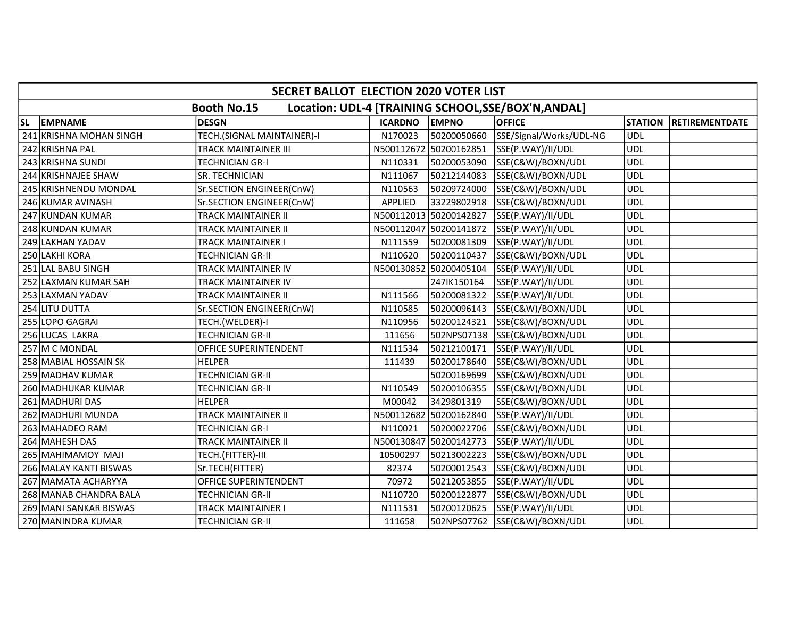|           | SECRET BALLOT ELECTION 2020 VOTER LIST                                    |                            |                |                        |                               |                |                       |  |  |  |
|-----------|---------------------------------------------------------------------------|----------------------------|----------------|------------------------|-------------------------------|----------------|-----------------------|--|--|--|
|           | <b>Booth No.15</b><br>Location: UDL-4 [TRAINING SCHOOL, SSE/BOX'N, ANDAL] |                            |                |                        |                               |                |                       |  |  |  |
| <b>SL</b> | <b>EMPNAME</b>                                                            | <b>DESGN</b>               | <b>ICARDNO</b> | <b>EMPNO</b>           | <b>OFFICE</b>                 | <b>STATION</b> | <b>RETIREMENTDATE</b> |  |  |  |
|           | 241 KRISHNA MOHAN SINGH                                                   | TECH.(SIGNAL MAINTAINER)-I | N170023        | 50200050660            | SSE/Signal/Works/UDL-NG       | <b>UDL</b>     |                       |  |  |  |
|           | 242 KRISHNA PAL                                                           | TRACK MAINTAINER III       |                | N500112672 50200162851 | SSE(P.WAY)/II/UDL             | <b>UDL</b>     |                       |  |  |  |
|           | 243 KRISHNA SUNDI                                                         | <b>TECHNICIAN GR-I</b>     | N110331        | 50200053090            | SSE(C&W)/BOXN/UDL             | <b>UDL</b>     |                       |  |  |  |
|           | 244 KRISHNAJEE SHAW                                                       | SR. TECHNICIAN             | N111067        | 50212144083            | SSE(C&W)/BOXN/UDL             | <b>UDL</b>     |                       |  |  |  |
|           | 245 KRISHNENDU MONDAL                                                     | Sr.SECTION ENGINEER(CnW)   | N110563        | 50209724000            | SSE(C&W)/BOXN/UDL             | UDL            |                       |  |  |  |
|           | 246 KUMAR AVINASH                                                         | Sr.SECTION ENGINEER(CnW)   | <b>APPLIED</b> | 33229802918            | SSE(C&W)/BOXN/UDL             | <b>UDL</b>     |                       |  |  |  |
|           | 247 KUNDAN KUMAR                                                          | <b>TRACK MAINTAINER II</b> |                | N500112013 50200142827 | SSE(P.WAY)/II/UDL             | <b>UDL</b>     |                       |  |  |  |
|           | 248 KUNDAN KUMAR                                                          | TRACK MAINTAINER II        |                | N500112047 50200141872 | SSE(P.WAY)/II/UDL             | <b>UDL</b>     |                       |  |  |  |
|           | 249 LAKHAN YADAV                                                          | <b>TRACK MAINTAINER I</b>  | N111559        | 50200081309            | SSE(P.WAY)/II/UDL             | <b>UDL</b>     |                       |  |  |  |
|           | 250 LAKHI KORA                                                            | TECHNICIAN GR-II           | N110620        | 50200110437            | SSE(C&W)/BOXN/UDL             | <b>UDL</b>     |                       |  |  |  |
|           | 251 LAL BABU SINGH                                                        | <b>TRACK MAINTAINER IV</b> |                | N500130852 50200405104 | SSE(P.WAY)/II/UDL             | <b>UDL</b>     |                       |  |  |  |
|           | 252 LAXMAN KUMAR SAH                                                      | TRACK MAINTAINER IV        |                | 247IK150164            | SSE(P.WAY)/II/UDL             | <b>UDL</b>     |                       |  |  |  |
|           | 253 LAXMAN YADAV                                                          | <b>TRACK MAINTAINER II</b> | N111566        | 50200081322            | SSE(P.WAY)/II/UDL             | <b>UDL</b>     |                       |  |  |  |
|           | 254 LITU DUTTA                                                            | Sr.SECTION ENGINEER(CnW)   | N110585        | 50200096143            | SSE(C&W)/BOXN/UDL             | <b>UDL</b>     |                       |  |  |  |
|           | 255 LOPO GAGRAI                                                           | TECH.(WELDER)-I            | N110956        | 50200124321            | SSE(C&W)/BOXN/UDL             | <b>UDL</b>     |                       |  |  |  |
|           | 256 LUCAS LAKRA                                                           | <b>TECHNICIAN GR-II</b>    | 111656         | 502NPS07138            | SSE(C&W)/BOXN/UDL             | <b>UDL</b>     |                       |  |  |  |
|           | 257 M C MONDAL                                                            | OFFICE SUPERINTENDENT      | N111534        | 50212100171            | SSE(P.WAY)/II/UDL             | <b>UDL</b>     |                       |  |  |  |
|           | 258 MABIAL HOSSAIN SK                                                     | <b>HELPER</b>              | 111439         | 50200178640            | SSE(C&W)/BOXN/UDL             | <b>UDL</b>     |                       |  |  |  |
|           | 259 MADHAV KUMAR                                                          | <b>TECHNICIAN GR-II</b>    |                | 50200169699            | SSE(C&W)/BOXN/UDL             | <b>UDL</b>     |                       |  |  |  |
|           | 260 MADHUKAR KUMAR                                                        | <b>TECHNICIAN GR-II</b>    | N110549        | 50200106355            | SSE(C&W)/BOXN/UDL             | <b>UDL</b>     |                       |  |  |  |
|           | 261 MADHURI DAS                                                           | <b>HELPER</b>              | M00042         | 3429801319             | SSE(C&W)/BOXN/UDL             | <b>UDL</b>     |                       |  |  |  |
|           | 262 MADHURI MUNDA                                                         | <b>TRACK MAINTAINER II</b> |                | N500112682 50200162840 | SSE(P.WAY)/II/UDL             | <b>UDL</b>     |                       |  |  |  |
|           | 263 MAHADEO RAM                                                           | <b>TECHNICIAN GR-I</b>     | N110021        | 50200022706            | SSE(C&W)/BOXN/UDL             | <b>UDL</b>     |                       |  |  |  |
|           | 264 MAHESH DAS                                                            | <b>TRACK MAINTAINER II</b> |                | N500130847 50200142773 | SSE(P.WAY)/II/UDL             | <b>UDL</b>     |                       |  |  |  |
|           | 265 MAHIMAMOY MAJI                                                        | TECH.(FITTER)-III          | 10500297       | 50213002223            | SSE(C&W)/BOXN/UDL             | <b>UDL</b>     |                       |  |  |  |
|           | 266 MALAY KANTI BISWAS                                                    | Sr.TECH(FITTER)            | 82374          | 50200012543            | SSE(C&W)/BOXN/UDL             | <b>UDL</b>     |                       |  |  |  |
|           | 267 MAMATA ACHARYYA                                                       | OFFICE SUPERINTENDENT      | 70972          | 50212053855            | SSE(P.WAY)/II/UDL             | <b>UDL</b>     |                       |  |  |  |
|           | 268 MANAB CHANDRA BALA                                                    | <b>TECHNICIAN GR-II</b>    | N110720        | 50200122877            | SSE(C&W)/BOXN/UDL             | <b>UDL</b>     |                       |  |  |  |
|           | 269 MANI SANKAR BISWAS                                                    | <b>TRACK MAINTAINER I</b>  | N111531        | 50200120625            | SSE(P.WAY)/II/UDL             | <b>UDL</b>     |                       |  |  |  |
|           | 270 MANINDRA KUMAR                                                        | <b>TECHNICIAN GR-II</b>    | 111658         |                        | 502NPS07762 SSE(C&W)/BOXN/UDL | <b>UDL</b>     |                       |  |  |  |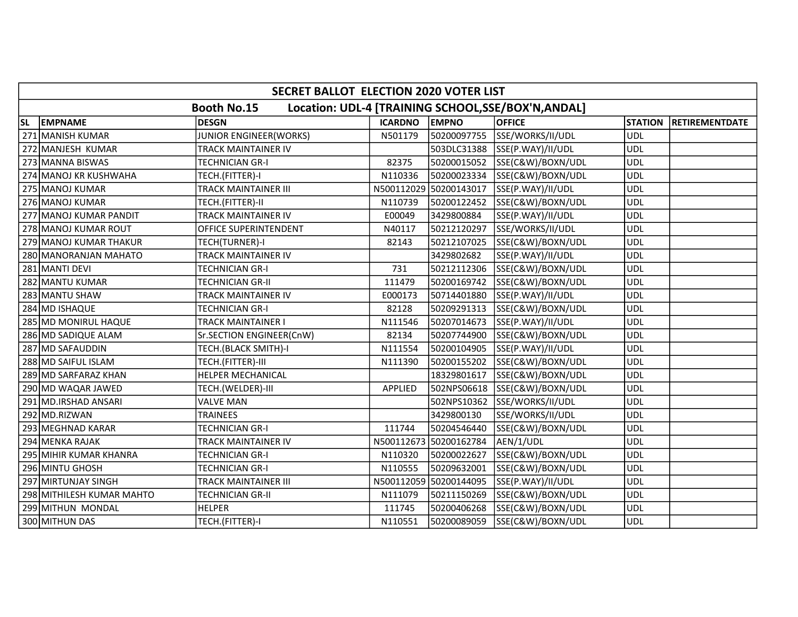|    | SECRET BALLOT ELECTION 2020 VOTER LIST                                    |                               |                |                        |                   |                |                       |  |  |  |  |
|----|---------------------------------------------------------------------------|-------------------------------|----------------|------------------------|-------------------|----------------|-----------------------|--|--|--|--|
|    | <b>Booth No.15</b><br>Location: UDL-4 [TRAINING SCHOOL, SSE/BOX'N, ANDAL] |                               |                |                        |                   |                |                       |  |  |  |  |
| SL | <b>EMPNAME</b>                                                            | <b>DESGN</b>                  | <b>ICARDNO</b> | <b>EMPNO</b>           | <b>OFFICE</b>     | <b>STATION</b> | <b>RETIREMENTDATE</b> |  |  |  |  |
|    | 271 MANISH KUMAR                                                          | <b>JUNIOR ENGINEER(WORKS)</b> | N501179        | 50200097755            | SSE/WORKS/II/UDL  | <b>UDL</b>     |                       |  |  |  |  |
|    | 272 MANJESH KUMAR                                                         | <b>TRACK MAINTAINER IV</b>    |                | 503DLC31388            | SSE(P.WAY)/II/UDL | <b>UDL</b>     |                       |  |  |  |  |
|    | 273 MANNA BISWAS                                                          | <b>TECHNICIAN GR-I</b>        | 82375          | 50200015052            | SSE(C&W)/BOXN/UDL | <b>UDL</b>     |                       |  |  |  |  |
|    | 274 MANOJ KR KUSHWAHA                                                     | TECH.(FITTER)-I               | N110336        | 50200023334            | SSE(C&W)/BOXN/UDL | <b>UDL</b>     |                       |  |  |  |  |
|    | 275 MANOJ KUMAR                                                           | <b>TRACK MAINTAINER III</b>   | N500112029     | 50200143017            | SSE(P.WAY)/II/UDL | <b>UDL</b>     |                       |  |  |  |  |
|    | 276 MANOJ KUMAR                                                           | TECH.(FITTER)-II              | N110739        | 50200122452            | SSE(C&W)/BOXN/UDL | <b>UDL</b>     |                       |  |  |  |  |
|    | 277 MANOJ KUMAR PANDIT                                                    | <b>TRACK MAINTAINER IV</b>    | E00049         | 3429800884             | SSE(P.WAY)/II/UDL | <b>UDL</b>     |                       |  |  |  |  |
|    | 278 MANOJ KUMAR ROUT                                                      | OFFICE SUPERINTENDENT         | N40117         | 50212120297            | SSE/WORKS/II/UDL  | <b>UDL</b>     |                       |  |  |  |  |
|    | 279 MANOJ KUMAR THAKUR                                                    | TECH(TURNER)-I                | 82143          | 50212107025            | SSE(C&W)/BOXN/UDL | <b>UDL</b>     |                       |  |  |  |  |
|    | 280 MANORANJAN MAHATO                                                     | <b>TRACK MAINTAINER IV</b>    |                | 3429802682             | SSE(P.WAY)/II/UDL | <b>UDL</b>     |                       |  |  |  |  |
|    | 281 MANTI DEVI                                                            | <b>TECHNICIAN GR-I</b>        | 731            | 50212112306            | SSE(C&W)/BOXN/UDL | <b>UDL</b>     |                       |  |  |  |  |
|    | 282 MANTU KUMAR                                                           | <b>TECHNICIAN GR-II</b>       | 111479         | 50200169742            | SSE(C&W)/BOXN/UDL | <b>UDL</b>     |                       |  |  |  |  |
|    | 283 MANTU SHAW                                                            | TRACK MAINTAINER IV           | E000173        | 50714401880            | SSE(P.WAY)/II/UDL | <b>UDL</b>     |                       |  |  |  |  |
|    | 284 MD ISHAQUE                                                            | <b>TECHNICIAN GR-I</b>        | 82128          | 50209291313            | SSE(C&W)/BOXN/UDL | <b>UDL</b>     |                       |  |  |  |  |
|    | <b>285 MD MONIRUL HAQUE</b>                                               | <b>TRACK MAINTAINER I</b>     | N111546        | 50207014673            | SSE(P.WAY)/II/UDL | <b>UDL</b>     |                       |  |  |  |  |
|    | 286 MD SADIQUE ALAM                                                       | Sr.SECTION ENGINEER(CnW)      | 82134          | 50207744900            | SSE(C&W)/BOXN/UDL | <b>UDL</b>     |                       |  |  |  |  |
|    | 287 MD SAFAUDDIN                                                          | TECH.(BLACK SMITH)-I          | N111554        | 50200104905            | SSE(P.WAY)/II/UDL | <b>UDL</b>     |                       |  |  |  |  |
|    | 288 MD SAIFUL ISLAM                                                       | TECH.(FITTER)-III             | N111390        | 50200155202            | SSE(C&W)/BOXN/UDL | <b>UDL</b>     |                       |  |  |  |  |
|    | 289 MD SARFARAZ KHAN                                                      | HELPER MECHANICAL             |                | 18329801617            | SSE(C&W)/BOXN/UDL | <b>UDL</b>     |                       |  |  |  |  |
|    | 290 MD WAQAR JAWED                                                        | TECH.(WELDER)-III             | <b>APPLIED</b> | 502NPS06618            | SSE(C&W)/BOXN/UDL | <b>UDL</b>     |                       |  |  |  |  |
|    | 291 MD.IRSHAD ANSARI                                                      | <b>VALVE MAN</b>              |                | 502NPS10362            | SSE/WORKS/II/UDL  | <b>UDL</b>     |                       |  |  |  |  |
|    | 292 MD.RIZWAN                                                             | <b>TRAINEES</b>               |                | 3429800130             | SSE/WORKS/II/UDL  | <b>UDL</b>     |                       |  |  |  |  |
|    | 293 MEGHNAD KARAR                                                         | <b>TECHNICIAN GR-I</b>        | 111744         | 50204546440            | SSE(C&W)/BOXN/UDL | <b>UDL</b>     |                       |  |  |  |  |
|    | 294 MENKA RAJAK                                                           | TRACK MAINTAINER IV           |                | N500112673 50200162784 | AEN/1/UDL         | <b>UDL</b>     |                       |  |  |  |  |
|    | 295 MIHIR KUMAR KHANRA                                                    | <b>TECHNICIAN GR-I</b>        | N110320        | 50200022627            | SSE(C&W)/BOXN/UDL | <b>UDL</b>     |                       |  |  |  |  |
|    | 296 MINTU GHOSH                                                           | <b>TECHNICIAN GR-I</b>        | N110555        | 50209632001            | SSE(C&W)/BOXN/UDL | <b>UDL</b>     |                       |  |  |  |  |
|    | 297 MIRTUNJAY SINGH                                                       | TRACK MAINTAINER III          |                | N500112059 50200144095 | SSE(P.WAY)/II/UDL | <b>UDL</b>     |                       |  |  |  |  |
|    | 298 MITHILESH KUMAR MAHTO                                                 | <b>TECHNICIAN GR-II</b>       | N111079        | 50211150269            | SSE(C&W)/BOXN/UDL | <b>UDL</b>     |                       |  |  |  |  |
|    | 299 MITHUN MONDAL                                                         | <b>HELPER</b>                 | 111745         | 50200406268            | SSE(C&W)/BOXN/UDL | <b>UDL</b>     |                       |  |  |  |  |
|    | 300 MITHUN DAS                                                            | TECH.(FITTER)-I               | N110551        | 50200089059            | SSE(C&W)/BOXN/UDL | <b>UDL</b>     |                       |  |  |  |  |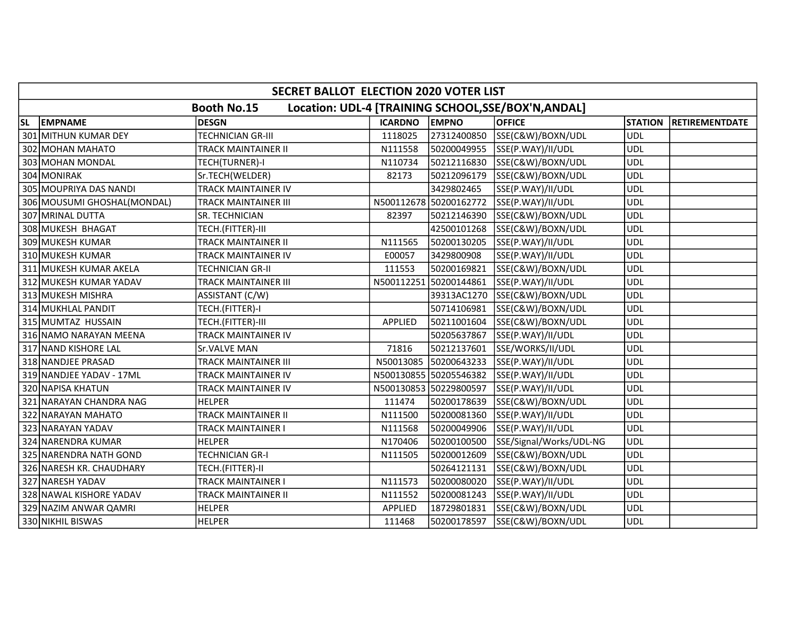|    | SECRET BALLOT ELECTION 2020 VOTER LIST                                   |                             |                |                        |                         |                |                       |  |  |  |  |
|----|--------------------------------------------------------------------------|-----------------------------|----------------|------------------------|-------------------------|----------------|-----------------------|--|--|--|--|
|    | Location: UDL-4 [TRAINING SCHOOL, SE/BOX'N, ANDAL]<br><b>Booth No.15</b> |                             |                |                        |                         |                |                       |  |  |  |  |
| SL | <b>EMPNAME</b>                                                           | <b>DESGN</b>                | <b>ICARDNO</b> | <b>EMPNO</b>           | <b>OFFICE</b>           | <b>STATION</b> | <b>RETIREMENTDATE</b> |  |  |  |  |
|    | 301 MITHUN KUMAR DEY                                                     | <b>TECHNICIAN GR-III</b>    | 1118025        | 27312400850            | SSE(C&W)/BOXN/UDL       | <b>UDL</b>     |                       |  |  |  |  |
|    | 302 MOHAN MAHATO                                                         | <b>TRACK MAINTAINER II</b>  | N111558        | 50200049955            | SSE(P.WAY)/II/UDL       | <b>UDL</b>     |                       |  |  |  |  |
|    | 303 MOHAN MONDAL                                                         | TECH(TURNER)-I              | N110734        | 50212116830            | SSE(C&W)/BOXN/UDL       | <b>UDL</b>     |                       |  |  |  |  |
|    | 304 MONIRAK                                                              | Sr.TECH(WELDER)             | 82173          | 50212096179            | SSE(C&W)/BOXN/UDL       | <b>UDL</b>     |                       |  |  |  |  |
|    | 305 MOUPRIYA DAS NANDI                                                   | TRACK MAINTAINER IV         |                | 3429802465             | SSE(P.WAY)/II/UDL       | <b>UDL</b>     |                       |  |  |  |  |
|    | 306 MOUSUMI GHOSHAL (MONDAL)                                             | <b>TRACK MAINTAINER III</b> |                | N500112678 50200162772 | SSE(P.WAY)/II/UDL       | <b>UDL</b>     |                       |  |  |  |  |
|    | 307 MRINAL DUTTA                                                         | SR. TECHNICIAN              | 82397          | 50212146390            | SSE(C&W)/BOXN/UDL       | <b>UDL</b>     |                       |  |  |  |  |
|    | 308 MUKESH BHAGAT                                                        | TECH.(FITTER)-III           |                | 42500101268            | SSE(C&W)/BOXN/UDL       | <b>UDL</b>     |                       |  |  |  |  |
|    | 309 MUKESH KUMAR                                                         | <b>TRACK MAINTAINER II</b>  | N111565        | 50200130205            | SSE(P.WAY)/II/UDL       | <b>UDL</b>     |                       |  |  |  |  |
|    | 310 MUKESH KUMAR                                                         | <b>TRACK MAINTAINER IV</b>  | E00057         | 3429800908             | SSE(P.WAY)/II/UDL       | <b>UDL</b>     |                       |  |  |  |  |
|    | 311 MUKESH KUMAR AKELA                                                   | <b>TECHNICIAN GR-II</b>     | 111553         | 50200169821            | SSE(C&W)/BOXN/UDL       | <b>UDL</b>     |                       |  |  |  |  |
|    | 312 MUKESH KUMAR YADAV                                                   | <b>TRACK MAINTAINER III</b> |                | N500112251 50200144861 | SSE(P.WAY)/II/UDL       | <b>UDL</b>     |                       |  |  |  |  |
|    | 313 MUKESH MISHRA                                                        | ASSISTANT (C/W)             |                | 39313AC1270            | SSE(C&W)/BOXN/UDL       | <b>UDL</b>     |                       |  |  |  |  |
|    | 314 MUKHLAL PANDIT                                                       | TECH.(FITTER)-I             |                | 50714106981            | SSE(C&W)/BOXN/UDL       | <b>UDL</b>     |                       |  |  |  |  |
|    | 315 MUMTAZ HUSSAIN                                                       | TECH.(FITTER)-III           | <b>APPLIED</b> | 50211001604            | SSE(C&W)/BOXN/UDL       | <b>UDL</b>     |                       |  |  |  |  |
|    | 316 NAMO NARAYAN MEENA                                                   | <b>TRACK MAINTAINER IV</b>  |                | 50205637867            | SSE(P.WAY)/II/UDL       | <b>UDL</b>     |                       |  |  |  |  |
|    | 317 NAND KISHORE LAL                                                     | Sr.VALVE MAN                | 71816          | 50212137601            | SSE/WORKS/II/UDL        | <b>UDL</b>     |                       |  |  |  |  |
|    | 318 NANDJEE PRASAD                                                       | <b>TRACK MAINTAINER III</b> | N50013085      | 50200643233            | SSE(P.WAY)/II/UDL       | <b>UDL</b>     |                       |  |  |  |  |
|    | 319 NANDJEE YADAV - 17ML                                                 | <b>TRACK MAINTAINER IV</b>  |                | N500130855 50205546382 | SSE(P.WAY)/II/UDL       | <b>UDL</b>     |                       |  |  |  |  |
|    | 320 NAPISA KHATUN                                                        | <b>TRACK MAINTAINER IV</b>  |                | N500130853 50229800597 | SSE(P.WAY)/II/UDL       | <b>UDL</b>     |                       |  |  |  |  |
|    | 321 NARAYAN CHANDRA NAG                                                  | <b>HELPER</b>               | 111474         | 50200178639            | SSE(C&W)/BOXN/UDL       | <b>UDL</b>     |                       |  |  |  |  |
|    | 322 NARAYAN MAHATO                                                       | <b>TRACK MAINTAINER II</b>  | N111500        | 50200081360            | SSE(P.WAY)/II/UDL       | <b>UDL</b>     |                       |  |  |  |  |
|    | 323 NARAYAN YADAV                                                        | TRACK MAINTAINER I          | N111568        | 50200049906            | SSE(P.WAY)/II/UDL       | <b>UDL</b>     |                       |  |  |  |  |
|    | 324 NARENDRA KUMAR                                                       | <b>HELPER</b>               | N170406        | 50200100500            | SSE/Signal/Works/UDL-NG | <b>UDL</b>     |                       |  |  |  |  |
|    | 325 NARENDRA NATH GOND                                                   | <b>TECHNICIAN GR-I</b>      | N111505        | 50200012609            | SSE(C&W)/BOXN/UDL       | <b>UDL</b>     |                       |  |  |  |  |
|    | 326 NARESH KR. CHAUDHARY                                                 | TECH.(FITTER)-II            |                | 50264121131            | SSE(C&W)/BOXN/UDL       | <b>UDL</b>     |                       |  |  |  |  |
|    | 327 NARESH YADAV                                                         | <b>TRACK MAINTAINER I</b>   | N111573        | 50200080020            | SSE(P.WAY)/II/UDL       | <b>UDL</b>     |                       |  |  |  |  |
|    | 328 NAWAL KISHORE YADAV                                                  | <b>TRACK MAINTAINER II</b>  | N111552        | 50200081243            | SSE(P.WAY)/II/UDL       | <b>UDL</b>     |                       |  |  |  |  |
|    | 329 NAZIM ANWAR QAMRI                                                    | <b>HELPER</b>               | APPLIED        | 18729801831            | SSE(C&W)/BOXN/UDL       | <b>UDL</b>     |                       |  |  |  |  |
|    | 330 NIKHIL BISWAS                                                        | <b>HELPER</b>               | 111468         | 50200178597            | SSE(C&W)/BOXN/UDL       | <b>UDL</b>     |                       |  |  |  |  |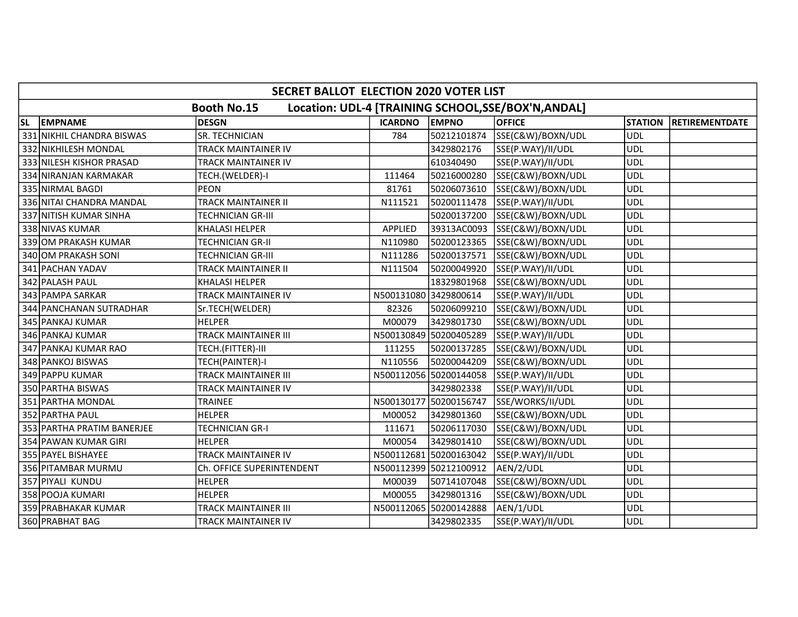|           | SECRET BALLOT ELECTION 2020 VOTER LIST                                    |                             |                       |                        |                   |                |                       |  |  |  |
|-----------|---------------------------------------------------------------------------|-----------------------------|-----------------------|------------------------|-------------------|----------------|-----------------------|--|--|--|
|           | Location: UDL-4 [TRAINING SCHOOL, SSE/BOX'N, ANDAL]<br><b>Booth No.15</b> |                             |                       |                        |                   |                |                       |  |  |  |
| <b>SL</b> | <b>EMPNAME</b>                                                            | <b>DESGN</b>                | <b>ICARDNO</b>        | <b>EMPNO</b>           | <b>OFFICE</b>     | <b>STATION</b> | <b>RETIREMENTDATE</b> |  |  |  |
|           | 331 NIKHIL CHANDRA BISWAS                                                 | SR. TECHNICIAN              | 784                   | 50212101874            | SSE(C&W)/BOXN/UDL | UDL            |                       |  |  |  |
|           | 332 NIKHILESH MONDAL                                                      | <b>TRACK MAINTAINER IV</b>  |                       | 3429802176             | SSE(P.WAY)/II/UDL | <b>UDL</b>     |                       |  |  |  |
|           | 333 NILESH KISHOR PRASAD                                                  | <b>TRACK MAINTAINER IV</b>  |                       | 610340490              | SSE(P.WAY)/II/UDL | <b>UDL</b>     |                       |  |  |  |
|           | 334 NIRANJAN KARMAKAR                                                     | TECH.(WELDER)-I             | 111464                | 50216000280            | SSE(C&W)/BOXN/UDL | <b>UDL</b>     |                       |  |  |  |
|           | 335 NIRMAL BAGDI                                                          | <b>PEON</b>                 | 81761                 | 50206073610            | SSE(C&W)/BOXN/UDL | <b>UDL</b>     |                       |  |  |  |
|           | 336 NITAI CHANDRA MANDAL                                                  | <b>TRACK MAINTAINER II</b>  | N111521               | 50200111478            | SSE(P.WAY)/II/UDL | <b>UDL</b>     |                       |  |  |  |
|           | 337 NITISH KUMAR SINHA                                                    | <b>TECHNICIAN GR-III</b>    |                       | 50200137200            | SSE(C&W)/BOXN/UDL | <b>UDL</b>     |                       |  |  |  |
|           | 338 NIVAS KUMAR                                                           | <b>KHALASI HELPER</b>       | APPLIED               | 39313AC0093            | SSE(C&W)/BOXN/UDL | <b>UDL</b>     |                       |  |  |  |
|           | 339 OM PRAKASH KUMAR                                                      | <b>TECHNICIAN GR-II</b>     | N110980               | 50200123365            | SSE(C&W)/BOXN/UDL | <b>UDL</b>     |                       |  |  |  |
|           | 340 OM PRAKASH SONI                                                       | <b>TECHNICIAN GR-III</b>    | N111286               | 50200137571            | SSE(C&W)/BOXN/UDL | <b>UDL</b>     |                       |  |  |  |
|           | 341 PACHAN YADAV                                                          | <b>TRACK MAINTAINER II</b>  | N111504               | 50200049920            | SSE(P.WAY)/II/UDL | <b>UDL</b>     |                       |  |  |  |
|           | 342 PALASH PAUL                                                           | KHALASI HELPER              |                       | 18329801968            | SSE(C&W)/BOXN/UDL | <b>UDL</b>     |                       |  |  |  |
|           | 343 PAMPA SARKAR                                                          | TRACK MAINTAINER IV         | N500131080 3429800614 |                        | SSE(P.WAY)/II/UDL | <b>UDL</b>     |                       |  |  |  |
|           | 344 PANCHANAN SUTRADHAR                                                   | Sr.TECH(WELDER)             | 82326                 | 50206099210            | SSE(C&W)/BOXN/UDL | <b>UDL</b>     |                       |  |  |  |
|           | 345 PANKAJ KUMAR                                                          | <b>HELPER</b>               | M00079                | 3429801730             | SSE(C&W)/BOXN/UDL | <b>UDL</b>     |                       |  |  |  |
|           | 346 PANKAJ KUMAR                                                          | <b>TRACK MAINTAINER III</b> |                       | N500130849 50200405289 | SSE(P.WAY)/II/UDL | <b>UDL</b>     |                       |  |  |  |
|           | 347 PANKAJ KUMAR RAO                                                      | TECH.(FITTER)-III           | 111255                | 50200137285            | SSE(C&W)/BOXN/UDL | <b>UDL</b>     |                       |  |  |  |
|           | 348 PANKOJ BISWAS                                                         | TECH(PAINTER)-I             | N110556               | 50200044209            | SSE(C&W)/BOXN/UDL | <b>UDL</b>     |                       |  |  |  |
|           | 349 PAPPU KUMAR                                                           | TRACK MAINTAINER III        |                       | N500112056 50200144058 | SSE(P.WAY)/II/UDL | <b>UDL</b>     |                       |  |  |  |
|           | 350 PARTHA BISWAS                                                         | <b>TRACK MAINTAINER IV</b>  |                       | 3429802338             | SSE(P.WAY)/II/UDL | <b>UDL</b>     |                       |  |  |  |
|           | 351 PARTHA MONDAL                                                         | <b>TRAINEE</b>              |                       | N500130177 50200156747 | SSE/WORKS/II/UDL  | <b>UDL</b>     |                       |  |  |  |
|           | 352 PARTHA PAUL                                                           | <b>HELPER</b>               | M00052                | 3429801360             | SSE(C&W)/BOXN/UDL | <b>UDL</b>     |                       |  |  |  |
|           | 353 PARTHA PRATIM BANERJEE                                                | <b>TECHNICIAN GR-I</b>      | 111671                | 50206117030            | SSE(C&W)/BOXN/UDL | <b>UDL</b>     |                       |  |  |  |
|           | 354 PAWAN KUMAR GIRI                                                      | <b>HELPER</b>               | M00054                | 3429801410             | SSE(C&W)/BOXN/UDL | <b>UDL</b>     |                       |  |  |  |
|           | 355 PAYEL BISHAYEE                                                        | TRACK MAINTAINER IV         |                       | N500112681 50200163042 | SSE(P.WAY)/II/UDL | <b>UDL</b>     |                       |  |  |  |
|           | 356 PITAMBAR MURMU                                                        | Ch. OFFICE SUPERINTENDENT   |                       | N500112399 50212100912 | AEN/2/UDL         | <b>UDL</b>     |                       |  |  |  |
|           | 357 PIYALI KUNDU                                                          | <b>HELPER</b>               | M00039                | 50714107048            | SSE(C&W)/BOXN/UDL | <b>UDL</b>     |                       |  |  |  |
|           | 358 POOJA KUMARI                                                          | <b>HELPER</b>               | M00055                | 3429801316             | SSE(C&W)/BOXN/UDL | <b>UDL</b>     |                       |  |  |  |
|           | 359 PRABHAKAR KUMAR                                                       | <b>TRACK MAINTAINER III</b> |                       | N500112065 50200142888 | AEN/1/UDL         | <b>UDL</b>     |                       |  |  |  |
|           | 360 PRABHAT BAG                                                           | TRACK MAINTAINER IV         |                       | 3429802335             | SSE(P.WAY)/II/UDL | <b>UDL</b>     |                       |  |  |  |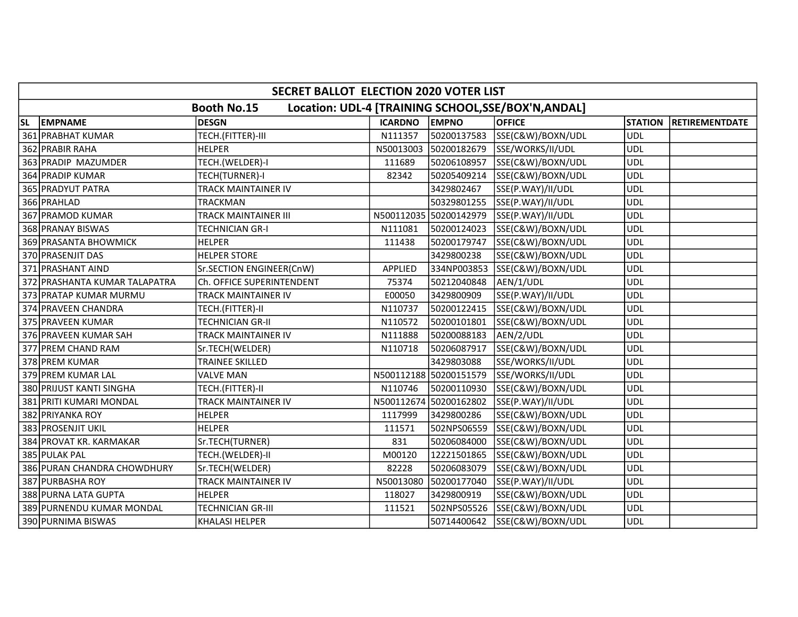|           | SECRET BALLOT ELECTION 2020 VOTER LIST |                             |                |                        |                                                     |                |                       |  |  |
|-----------|----------------------------------------|-----------------------------|----------------|------------------------|-----------------------------------------------------|----------------|-----------------------|--|--|
|           |                                        | <b>Booth No.15</b>          |                |                        | Location: UDL-4 [TRAINING SCHOOL, SSE/BOX'N, ANDAL] |                |                       |  |  |
| <b>SL</b> | <b>EMPNAME</b>                         | <b>DESGN</b>                | <b>ICARDNO</b> | <b>EMPNO</b>           | <b>OFFICE</b>                                       | <b>STATION</b> | <b>RETIREMENTDATE</b> |  |  |
|           | 361 PRABHAT KUMAR                      | TECH.(FITTER)-III           | N111357        | 50200137583            | SSE(C&W)/BOXN/UDL                                   | <b>UDL</b>     |                       |  |  |
|           | 362 PRABIR RAHA                        | <b>HELPER</b>               | N50013003      | 50200182679            | SSE/WORKS/II/UDL                                    | <b>UDL</b>     |                       |  |  |
|           | 363 PRADIP MAZUMDER                    | TECH.(WELDER)-I             | 111689         | 50206108957            | SSE(C&W)/BOXN/UDL                                   | <b>UDL</b>     |                       |  |  |
|           | 364 PRADIP KUMAR                       | TECH(TURNER)-I              | 82342          | 50205409214            | SSE(C&W)/BOXN/UDL                                   | <b>UDL</b>     |                       |  |  |
|           | 365 PRADYUT PATRA                      | <b>TRACK MAINTAINER IV</b>  |                | 3429802467             | SSE(P.WAY)/II/UDL                                   | <b>UDL</b>     |                       |  |  |
|           | 366 PRAHLAD                            | <b>TRACKMAN</b>             |                | 50329801255            | SSE(P.WAY)/II/UDL                                   | <b>UDL</b>     |                       |  |  |
|           | 367 PRAMOD KUMAR                       | <b>TRACK MAINTAINER III</b> |                | N500112035 50200142979 | SSE(P.WAY)/II/UDL                                   | <b>UDL</b>     |                       |  |  |
|           | 368 PRANAY BISWAS                      | <b>TECHNICIAN GR-I</b>      | N111081        | 50200124023            | SSE(C&W)/BOXN/UDL                                   | <b>UDL</b>     |                       |  |  |
|           | 369 PRASANTA BHOWMICK                  | <b>HELPER</b>               | 111438         | 50200179747            | SSE(C&W)/BOXN/UDL                                   | <b>UDL</b>     |                       |  |  |
|           | 370 PRASENJIT DAS                      | <b>HELPER STORE</b>         |                | 3429800238             | SSE(C&W)/BOXN/UDL                                   | <b>UDL</b>     |                       |  |  |
|           | 371 PRASHANT AIND                      | Sr.SECTION ENGINEER(CnW)    | <b>APPLIED</b> | 334NP003853            | SSE(C&W)/BOXN/UDL                                   | <b>UDL</b>     |                       |  |  |
|           | 372 PRASHANTA KUMAR TALAPATRA          | Ch. OFFICE SUPERINTENDENT   | 75374          | 50212040848            | AEN/1/UDL                                           | <b>UDL</b>     |                       |  |  |
|           | 373 PRATAP KUMAR MURMU                 | TRACK MAINTAINER IV         | E00050         | 3429800909             | SSE(P.WAY)/II/UDL                                   | <b>UDL</b>     |                       |  |  |
|           | 374 PRAVEEN CHANDRA                    | TECH.(FITTER)-II            | N110737        | 50200122415            | SSE(C&W)/BOXN/UDL                                   | <b>UDL</b>     |                       |  |  |
|           | 375 PRAVEEN KUMAR                      | <b>TECHNICIAN GR-II</b>     | N110572        | 50200101801            | SSE(C&W)/BOXN/UDL                                   | <b>UDL</b>     |                       |  |  |
|           | 376 PRAVEEN KUMAR SAH                  | TRACK MAINTAINER IV         | N111888        | 50200088183            | AEN/2/UDL                                           | <b>UDL</b>     |                       |  |  |
|           | 377 PREM CHAND RAM                     | Sr.TECH(WELDER)             | N110718        | 50206087917            | SSE(C&W)/BOXN/UDL                                   | <b>UDL</b>     |                       |  |  |
|           | 378 PREM KUMAR                         | <b>TRAINEE SKILLED</b>      |                | 3429803088             | SSE/WORKS/II/UDL                                    | <b>UDL</b>     |                       |  |  |
|           | 379 PREM KUMAR LAL                     | <b>VALVE MAN</b>            |                | N500112188 50200151579 | SSE/WORKS/II/UDL                                    | <b>UDL</b>     |                       |  |  |
|           | 380 PRIJUST KANTI SINGHA               | TECH.(FITTER)-II            | N110746        | 50200110930            | SSE(C&W)/BOXN/UDL                                   | <b>UDL</b>     |                       |  |  |
|           | 381 PRITI KUMARI MONDAL                | <b>TRACK MAINTAINER IV</b>  |                | N500112674 50200162802 | SSE(P.WAY)/II/UDL                                   | <b>UDL</b>     |                       |  |  |
|           | 382 PRIYANKA ROY                       | <b>HELPER</b>               | 1117999        | 3429800286             | SSE(C&W)/BOXN/UDL                                   | <b>UDL</b>     |                       |  |  |
|           | 383 PROSENJIT UKIL                     | <b>HELPER</b>               | 111571         | 502NPS06559            | SSE(C&W)/BOXN/UDL                                   | <b>UDL</b>     |                       |  |  |
|           | 384 PROVAT KR. KARMAKAR                | Sr.TECH(TURNER)             | 831            | 50206084000            | SSE(C&W)/BOXN/UDL                                   | <b>UDL</b>     |                       |  |  |
|           | 385 PULAK PAL                          | TECH.(WELDER)-II            | M00120         | 12221501865            | SSE(C&W)/BOXN/UDL                                   | <b>UDL</b>     |                       |  |  |
|           | 386 PURAN CHANDRA CHOWDHURY            | Sr.TECH(WELDER)             | 82228          | 50206083079            | SSE(C&W)/BOXN/UDL                                   | <b>UDL</b>     |                       |  |  |
|           | 387 PURBASHA ROY                       | <b>TRACK MAINTAINER IV</b>  | N50013080      | 50200177040            | SSE(P.WAY)/II/UDL                                   | <b>UDL</b>     |                       |  |  |
|           | 388 PURNA LATA GUPTA                   | <b>HELPER</b>               | 118027         | 3429800919             | SSE(C&W)/BOXN/UDL                                   | <b>UDL</b>     |                       |  |  |
|           | 389 PURNENDU KUMAR MONDAL              | <b>TECHNICIAN GR-III</b>    | 111521         | 502NPS05526            | SSE(C&W)/BOXN/UDL                                   | <b>UDL</b>     |                       |  |  |
|           | 390 PURNIMA BISWAS                     | <b>KHALASI HELPER</b>       |                | 50714400642            | SSE(C&W)/BOXN/UDL                                   | <b>UDL</b>     |                       |  |  |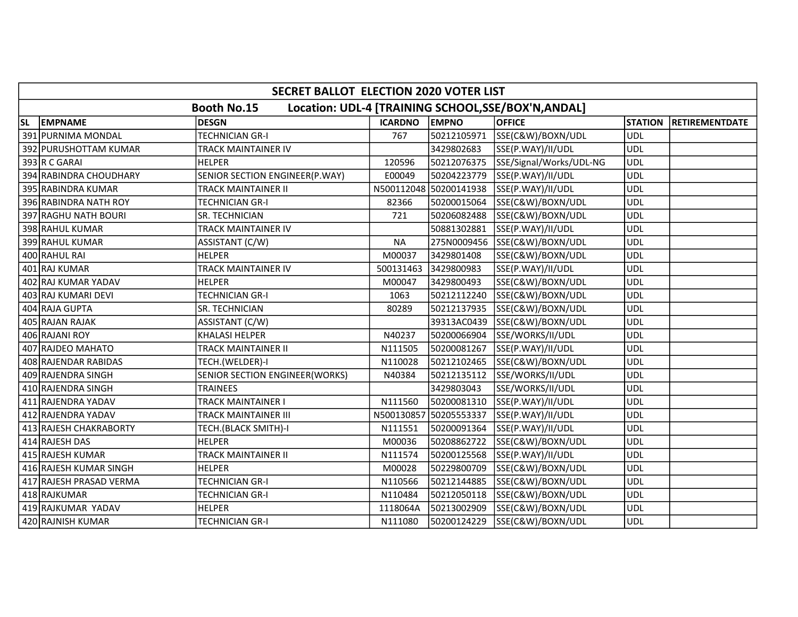|    | SECRET BALLOT ELECTION 2020 VOTER LIST |                                |                |                        |                                                     |                |                       |  |  |
|----|----------------------------------------|--------------------------------|----------------|------------------------|-----------------------------------------------------|----------------|-----------------------|--|--|
|    |                                        | <b>Booth No.15</b>             |                |                        | Location: UDL-4 [TRAINING SCHOOL, SSE/BOX'N, ANDAL] |                |                       |  |  |
| SL | <b>EMPNAME</b>                         | <b>DESGN</b>                   | <b>ICARDNO</b> | <b>EMPNO</b>           | <b>OFFICE</b>                                       | <b>STATION</b> | <b>RETIREMENTDATE</b> |  |  |
|    | 391 PURNIMA MONDAL                     | <b>TECHNICIAN GR-I</b>         | 767            | 50212105971            | SSE(C&W)/BOXN/UDL                                   | <b>UDL</b>     |                       |  |  |
|    | 392 PURUSHOTTAM KUMAR                  | <b>TRACK MAINTAINER IV</b>     |                | 3429802683             | SSE(P.WAY)/II/UDL                                   | <b>UDL</b>     |                       |  |  |
|    | 393 R C GARAI                          | <b>HELPER</b>                  | 120596         | 50212076375            | SSE/Signal/Works/UDL-NG                             | <b>UDL</b>     |                       |  |  |
|    | 394 RABINDRA CHOUDHARY                 | SENIOR SECTION ENGINEER(P.WAY) | E00049         | 50204223779            | SSE(P.WAY)/II/UDL                                   | <b>UDL</b>     |                       |  |  |
|    | 395 RABINDRA KUMAR                     | <b>TRACK MAINTAINER II</b>     |                | N500112048 50200141938 | SSE(P.WAY)/II/UDL                                   | <b>UDL</b>     |                       |  |  |
|    | 396 RABINDRA NATH ROY                  | <b>TECHNICIAN GR-I</b>         | 82366          | 50200015064            | SSE(C&W)/BOXN/UDL                                   | <b>UDL</b>     |                       |  |  |
|    | 397 RAGHU NATH BOURI                   | SR. TECHNICIAN                 | 721            | 50206082488            | SSE(C&W)/BOXN/UDL                                   | <b>UDL</b>     |                       |  |  |
|    | 398 RAHUL KUMAR                        | TRACK MAINTAINER IV            |                | 50881302881            | SSE(P.WAY)/II/UDL                                   | <b>UDL</b>     |                       |  |  |
|    | 399 RAHUL KUMAR                        | ASSISTANT (C/W)                | <b>NA</b>      |                        | 275N0009456 SSE(C&W)/BOXN/UDL                       | <b>UDL</b>     |                       |  |  |
|    | 400 RAHUL RAI                          | <b>HELPER</b>                  | M00037         | 3429801408             | SSE(C&W)/BOXN/UDL                                   | <b>UDL</b>     |                       |  |  |
|    | 401 RAJ KUMAR                          | <b>TRACK MAINTAINER IV</b>     | 500131463      | 3429800983             | SSE(P.WAY)/II/UDL                                   | <b>UDL</b>     |                       |  |  |
|    | 402 RAJ KUMAR YADAV                    | <b>HELPER</b>                  | M00047         | 3429800493             | SSE(C&W)/BOXN/UDL                                   | <b>UDL</b>     |                       |  |  |
|    | 403 RAJ KUMARI DEVI                    | <b>TECHNICIAN GR-I</b>         | 1063           | 50212112240            | SSE(C&W)/BOXN/UDL                                   | <b>UDL</b>     |                       |  |  |
|    | 404 RAJA GUPTA                         | SR. TECHNICIAN                 | 80289          | 50212137935            | SSE(C&W)/BOXN/UDL                                   | <b>UDL</b>     |                       |  |  |
|    | 405 RAJAN RAJAK                        | ASSISTANT (C/W)                |                | 39313AC0439            | SSE(C&W)/BOXN/UDL                                   | <b>UDL</b>     |                       |  |  |
|    | 406 RAJANI ROY                         | <b>KHALASI HELPER</b>          | N40237         | 50200066904            | SSE/WORKS/II/UDL                                    | <b>UDL</b>     |                       |  |  |
|    | 407 RAJDEO MAHATO                      | <b>TRACK MAINTAINER II</b>     | N111505        | 50200081267            | SSE(P.WAY)/II/UDL                                   | <b>UDL</b>     |                       |  |  |
|    | 408 RAJENDAR RABIDAS                   | TECH.(WELDER)-I                | N110028        | 50212102465            | SSE(C&W)/BOXN/UDL                                   | <b>UDL</b>     |                       |  |  |
|    | 409 RAJENDRA SINGH                     | SENIOR SECTION ENGINEER(WORKS) | N40384         | 50212135112            | SSE/WORKS/II/UDL                                    | <b>UDL</b>     |                       |  |  |
|    | 410 RAJENDRA SINGH                     | <b>TRAINEES</b>                |                | 3429803043             | SSE/WORKS/II/UDL                                    | <b>UDL</b>     |                       |  |  |
|    | 411 RAJENDRA YADAV                     | TRACK MAINTAINER I             | N111560        | 50200081310            | SSE(P.WAY)/II/UDL                                   | <b>UDL</b>     |                       |  |  |
|    | 412 RAJENDRA YADAV                     | <b>TRACK MAINTAINER III</b>    |                | N500130857 50205553337 | SSE(P.WAY)/II/UDL                                   | <b>UDL</b>     |                       |  |  |
|    | 413 RAJESH CHAKRABORTY                 | TECH.(BLACK SMITH)-I           | N111551        | 50200091364            | SSE(P.WAY)/II/UDL                                   | <b>UDL</b>     |                       |  |  |
|    | 414 RAJESH DAS                         | <b>HELPER</b>                  | M00036         | 50208862722            | SSE(C&W)/BOXN/UDL                                   | <b>UDL</b>     |                       |  |  |
|    | 415 RAJESH KUMAR                       | <b>TRACK MAINTAINER II</b>     | N111574        | 50200125568            | SSE(P.WAY)/II/UDL                                   | <b>UDL</b>     |                       |  |  |
|    | 416 RAJESH KUMAR SINGH                 | <b>HELPER</b>                  | M00028         | 50229800709            | SSE(C&W)/BOXN/UDL                                   | <b>UDL</b>     |                       |  |  |
|    | 417 RAJESH PRASAD VERMA                | <b>TECHNICIAN GR-I</b>         | N110566        | 50212144885            | SSE(C&W)/BOXN/UDL                                   | <b>UDL</b>     |                       |  |  |
|    | 418 RAJKUMAR                           | <b>TECHNICIAN GR-I</b>         | N110484        | 50212050118            | SSE(C&W)/BOXN/UDL                                   | <b>UDL</b>     |                       |  |  |
|    | 419 RAJKUMAR YADAV                     | <b>HELPER</b>                  | 1118064A       | 50213002909            | SSE(C&W)/BOXN/UDL                                   | <b>UDL</b>     |                       |  |  |
|    | 420 RAJNISH KUMAR                      | <b>TECHNICIAN GR-I</b>         | N111080        | 50200124229            | SSE(C&W)/BOXN/UDL                                   | <b>UDL</b>     |                       |  |  |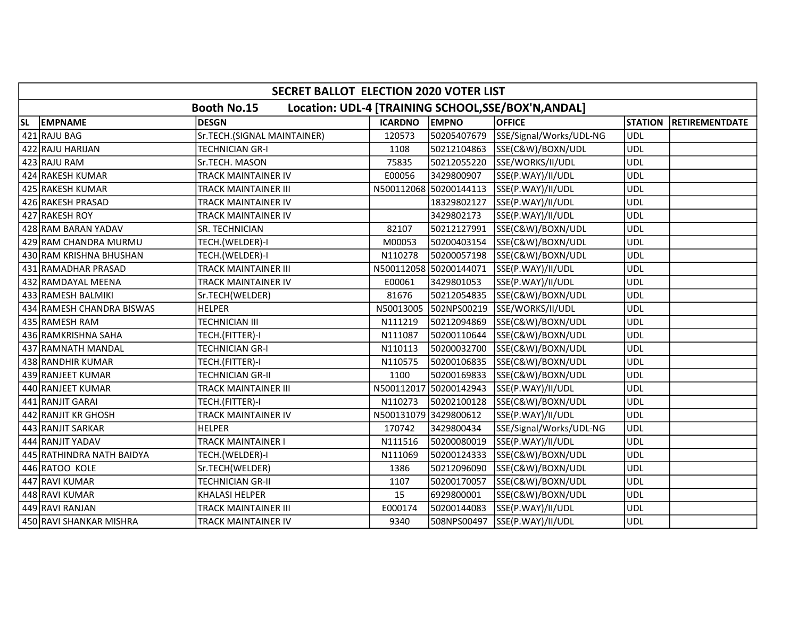|           | <b>SECRET BALLOT ELECTION 2020 VOTER LIST</b> |                             |                       |                        |                                                     |                |                       |  |  |
|-----------|-----------------------------------------------|-----------------------------|-----------------------|------------------------|-----------------------------------------------------|----------------|-----------------------|--|--|
|           |                                               | <b>Booth No.15</b>          |                       |                        | Location: UDL-4 [TRAINING SCHOOL, SSE/BOX'N, ANDAL] |                |                       |  |  |
| <b>SL</b> | <b>EMPNAME</b>                                | DESGN                       | <b>ICARDNO</b>        | <b>EMPNO</b>           | <b>OFFICE</b>                                       | <b>STATION</b> | <b>RETIREMENTDATE</b> |  |  |
|           | 421 RAJU BAG                                  | Sr.TECH.(SIGNAL MAINTAINER) | 120573                | 50205407679            | SSE/Signal/Works/UDL-NG                             | <b>UDL</b>     |                       |  |  |
|           | 422 RAJU HARIJAN                              | <b>TECHNICIAN GR-I</b>      | 1108                  | 50212104863            | SSE(C&W)/BOXN/UDL                                   | <b>UDL</b>     |                       |  |  |
|           | 423 RAJU RAM                                  | Sr.TECH. MASON              | 75835                 | 50212055220            | SSE/WORKS/II/UDL                                    | <b>UDL</b>     |                       |  |  |
|           | 424 RAKESH KUMAR                              | TRACK MAINTAINER IV         | E00056                | 3429800907             | SSE(P.WAY)/II/UDL                                   | <b>UDL</b>     |                       |  |  |
|           | 425 RAKESH KUMAR                              | <b>TRACK MAINTAINER III</b> |                       | N500112068 50200144113 | SSE(P.WAY)/II/UDL                                   | <b>UDL</b>     |                       |  |  |
|           | 426 RAKESH PRASAD                             | <b>TRACK MAINTAINER IV</b>  |                       | 18329802127            | SSE(P.WAY)/II/UDL                                   | <b>UDL</b>     |                       |  |  |
|           | 427 RAKESH ROY                                | <b>TRACK MAINTAINER IV</b>  |                       | 3429802173             | SSE(P.WAY)/II/UDL                                   | <b>UDL</b>     |                       |  |  |
|           | 428 RAM BARAN YADAV                           | SR. TECHNICIAN              | 82107                 | 50212127991            | SSE(C&W)/BOXN/UDL                                   | <b>UDL</b>     |                       |  |  |
|           | 429 RAM CHANDRA MURMU                         | TECH.(WELDER)-I             | M00053                | 50200403154            | SSE(C&W)/BOXN/UDL                                   | <b>UDL</b>     |                       |  |  |
|           | 430 RAM KRISHNA BHUSHAN                       | TECH.(WELDER)-I             | N110278               | 50200057198            | SSE(C&W)/BOXN/UDL                                   | <b>UDL</b>     |                       |  |  |
|           | 431 RAMADHAR PRASAD                           | <b>TRACK MAINTAINER III</b> |                       | N500112058 50200144071 | SSE(P.WAY)/II/UDL                                   | <b>UDL</b>     |                       |  |  |
|           | 432 RAMDAYAL MEENA                            | <b>TRACK MAINTAINER IV</b>  | E00061                | 3429801053             | SSE(P.WAY)/II/UDL                                   | <b>UDL</b>     |                       |  |  |
|           | 433 RAMESH BALMIKI                            | Sr.TECH(WELDER)             | 81676                 | 50212054835            | SSE(C&W)/BOXN/UDL                                   | <b>UDL</b>     |                       |  |  |
|           | 434 RAMESH CHANDRA BISWAS                     | <b>HELPER</b>               | N50013005             | 502NPS00219            | SSE/WORKS/II/UDL                                    | <b>UDL</b>     |                       |  |  |
|           | 435 RAMESH RAM                                | <b>TECHNICIAN III</b>       | N111219               | 50212094869            | SSE(C&W)/BOXN/UDL                                   | <b>UDL</b>     |                       |  |  |
|           | 436 RAMKRISHNA SAHA                           | TECH.(FITTER)-I             | N111087               | 50200110644            | SSE(C&W)/BOXN/UDL                                   | <b>UDL</b>     |                       |  |  |
|           | 437 RAMNATH MANDAL                            | <b>TECHNICIAN GR-I</b>      | N110113               | 50200032700            | SSE(C&W)/BOXN/UDL                                   | <b>UDL</b>     |                       |  |  |
|           | 438 RANDHIR KUMAR                             | TECH.(FITTER)-I             | N110575               | 50200106835            | SSE(C&W)/BOXN/UDL                                   | <b>UDL</b>     |                       |  |  |
|           | 439 RANJEET KUMAR                             | <b>TECHNICIAN GR-II</b>     | 1100                  | 50200169833            | SSE(C&W)/BOXN/UDL                                   | <b>UDL</b>     |                       |  |  |
|           | 440 RANJEET KUMAR                             | <b>TRACK MAINTAINER III</b> |                       | N500112017 50200142943 | SSE(P.WAY)/II/UDL                                   | <b>UDL</b>     |                       |  |  |
|           | 441 RANJIT GARAI                              | TECH.(FITTER)-I             | N110273               | 50202100128            | SSE(C&W)/BOXN/UDL                                   | <b>UDL</b>     |                       |  |  |
|           | 442 RANJIT KR GHOSH                           | TRACK MAINTAINER IV         | N500131079 3429800612 |                        | SSE(P.WAY)/II/UDL                                   | <b>UDL</b>     |                       |  |  |
|           | 443 RANJIT SARKAR                             | <b>HELPER</b>               | 170742                | 3429800434             | SSE/Signal/Works/UDL-NG                             | <b>UDL</b>     |                       |  |  |
|           | 444 RANJIT YADAV                              | <b>TRACK MAINTAINER I</b>   | N111516               | 50200080019            | SSE(P.WAY)/II/UDL                                   | <b>UDL</b>     |                       |  |  |
|           | 445 RATHINDRA NATH BAIDYA                     | TECH.(WELDER)-I             | N111069               | 50200124333            | SSE(C&W)/BOXN/UDL                                   | <b>UDL</b>     |                       |  |  |
|           | 446 RATOO KOLE                                | Sr.TECH(WELDER)             | 1386                  | 50212096090            | SSE(C&W)/BOXN/UDL                                   | <b>UDL</b>     |                       |  |  |
|           | 447 RAVI KUMAR                                | <b>TECHNICIAN GR-II</b>     | 1107                  | 50200170057            | SSE(C&W)/BOXN/UDL                                   | <b>UDL</b>     |                       |  |  |
|           | 448 RAVI KUMAR                                | <b>KHALASI HELPER</b>       | 15                    | 6929800001             | SSE(C&W)/BOXN/UDL                                   | <b>UDL</b>     |                       |  |  |
|           | 449 RAVI RANJAN                               | <b>TRACK MAINTAINER III</b> | E000174               | 50200144083            | SSE(P.WAY)/II/UDL                                   | <b>UDL</b>     |                       |  |  |
|           | 450 RAVI SHANKAR MISHRA                       | TRACK MAINTAINER IV         | 9340                  | 508NPS00497            | SSE(P.WAY)/II/UDL                                   | <b>UDL</b>     |                       |  |  |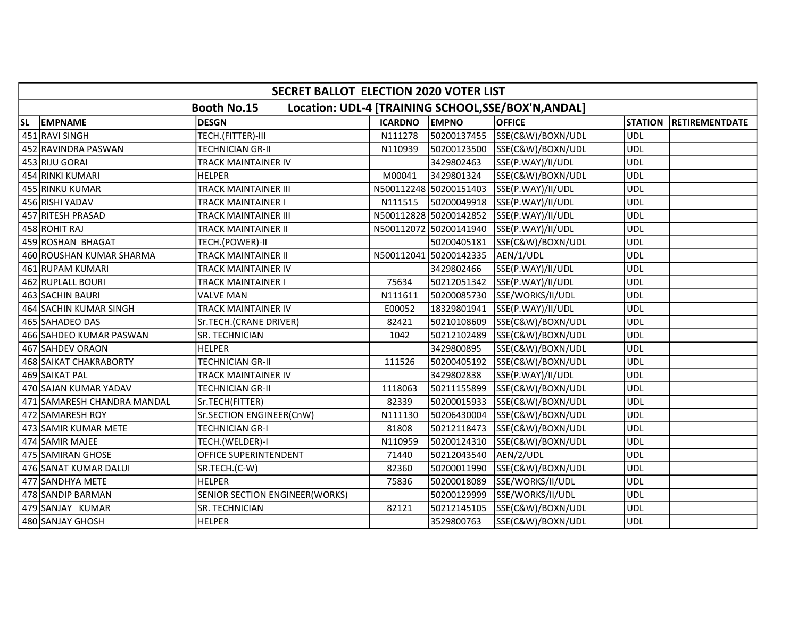|    | SECRET BALLOT ELECTION 2020 VOTER LIST |                                |                |                        |                                                    |                |                       |  |  |
|----|----------------------------------------|--------------------------------|----------------|------------------------|----------------------------------------------------|----------------|-----------------------|--|--|
|    |                                        | <b>Booth No.15</b>             |                |                        | Location: UDL-4 [TRAINING SCHOOL, SE/BOX'N, ANDAL] |                |                       |  |  |
| SL | <b>EMPNAME</b>                         | <b>DESGN</b>                   | <b>ICARDNO</b> | <b>EMPNO</b>           | <b>OFFICE</b>                                      | <b>STATION</b> | <b>RETIREMENTDATE</b> |  |  |
|    | 451 RAVI SINGH                         | TECH.(FITTER)-III              | N111278        | 50200137455            | SSE(C&W)/BOXN/UDL                                  | <b>UDL</b>     |                       |  |  |
|    | 452 RAVINDRA PASWAN                    | <b>TECHNICIAN GR-II</b>        | N110939        | 50200123500            | SSE(C&W)/BOXN/UDL                                  | <b>UDL</b>     |                       |  |  |
|    | 453 RIJU GORAI                         | TRACK MAINTAINER IV            |                | 3429802463             | SSE(P.WAY)/II/UDL                                  | <b>UDL</b>     |                       |  |  |
|    | 454 RINKI KUMARI                       | <b>HELPER</b>                  | M00041         | 3429801324             | SSE(C&W)/BOXN/UDL                                  | <b>UDL</b>     |                       |  |  |
|    | 455 RINKU KUMAR                        | <b>TRACK MAINTAINER III</b>    |                | N500112248 50200151403 | SSE(P.WAY)/II/UDL                                  | <b>UDL</b>     |                       |  |  |
|    | 456 RISHI YADAV                        | <b>TRACK MAINTAINER I</b>      | N111515        | 50200049918            | SSE(P.WAY)/II/UDL                                  | <b>UDL</b>     |                       |  |  |
|    | 457 RITESH PRASAD                      | <b>TRACK MAINTAINER III</b>    |                | N500112828 50200142852 | SSE(P.WAY)/II/UDL                                  | <b>UDL</b>     |                       |  |  |
|    | 458 ROHIT RAJ                          | <b>TRACK MAINTAINER II</b>     |                | N500112072 50200141940 | SSE(P.WAY)/II/UDL                                  | <b>UDL</b>     |                       |  |  |
|    | 459 ROSHAN BHAGAT                      | TECH.(POWER)-II                |                | 50200405181            | SSE(C&W)/BOXN/UDL                                  | <b>UDL</b>     |                       |  |  |
|    | 460 ROUSHAN KUMAR SHARMA               | <b>TRACK MAINTAINER II</b>     |                | N500112041 50200142335 | AEN/1/UDL                                          | <b>UDL</b>     |                       |  |  |
|    | 461 RUPAM KUMARI                       | TRACK MAINTAINER IV            |                | 3429802466             | SSE(P.WAY)/II/UDL                                  | <b>UDL</b>     |                       |  |  |
|    | 462 RUPLALL BOURI                      | TRACK MAINTAINER I             | 75634          | 50212051342            | SSE(P.WAY)/II/UDL                                  | <b>UDL</b>     |                       |  |  |
|    | 463 SACHIN BAURI                       | <b>VALVE MAN</b>               | N111611        | 50200085730            | SSE/WORKS/II/UDL                                   | <b>UDL</b>     |                       |  |  |
|    | 464 SACHIN KUMAR SINGH                 | TRACK MAINTAINER IV            | E00052         | 18329801941            | SSE(P.WAY)/II/UDL                                  | <b>UDL</b>     |                       |  |  |
|    | 465 SAHADEO DAS                        | Sr.TECH.(CRANE DRIVER)         | 82421          | 50210108609            | SSE(C&W)/BOXN/UDL                                  | <b>UDL</b>     |                       |  |  |
|    | 466 SAHDEO KUMAR PASWAN                | SR. TECHNICIAN                 | 1042           | 50212102489            | SSE(C&W)/BOXN/UDL                                  | <b>UDL</b>     |                       |  |  |
|    | 467 SAHDEV ORAON                       | <b>HELPER</b>                  |                | 3429800895             | SSE(C&W)/BOXN/UDL                                  | <b>UDL</b>     |                       |  |  |
|    | 468 SAIKAT CHAKRABORTY                 | <b>TECHNICIAN GR-II</b>        | 111526         | 50200405192            | SSE(C&W)/BOXN/UDL                                  | <b>UDL</b>     |                       |  |  |
|    | 469 SAIKAT PAL                         | <b>TRACK MAINTAINER IV</b>     |                | 3429802838             | SSE(P.WAY)/II/UDL                                  | <b>UDL</b>     |                       |  |  |
|    | 470 SAJAN KUMAR YADAV                  | <b>TECHNICIAN GR-II</b>        | 1118063        | 50211155899            | SSE(C&W)/BOXN/UDL                                  | <b>UDL</b>     |                       |  |  |
|    | 471 SAMARESH CHANDRA MANDAL            | Sr.TECH(FITTER)                | 82339          | 50200015933            | SSE(C&W)/BOXN/UDL                                  | <b>UDL</b>     |                       |  |  |
|    | 472 SAMARESH ROY                       | Sr.SECTION ENGINEER(CnW)       | N111130        | 50206430004            | SSE(C&W)/BOXN/UDL                                  | <b>UDL</b>     |                       |  |  |
|    | 473 SAMIR KUMAR METE                   | <b>TECHNICIAN GR-I</b>         | 81808          | 50212118473            | SSE(C&W)/BOXN/UDL                                  | <b>UDL</b>     |                       |  |  |
|    | 474 SAMIR MAJEE                        | TECH.(WELDER)-I                | N110959        | 50200124310            | SSE(C&W)/BOXN/UDL                                  | <b>UDL</b>     |                       |  |  |
|    | 475 SAMIRAN GHOSE                      | OFFICE SUPERINTENDENT          | 71440          | 50212043540            | AEN/2/UDL                                          | <b>UDL</b>     |                       |  |  |
|    | 476 SANAT KUMAR DALUI                  | SR.TECH.(C-W)                  | 82360          | 50200011990            | SSE(C&W)/BOXN/UDL                                  | <b>UDL</b>     |                       |  |  |
|    | 477 SANDHYA METE                       | <b>HELPER</b>                  | 75836          | 50200018089            | SSE/WORKS/II/UDL                                   | <b>UDL</b>     |                       |  |  |
|    | 478 SANDIP BARMAN                      | SENIOR SECTION ENGINEER(WORKS) |                | 50200129999            | SSE/WORKS/II/UDL                                   | <b>UDL</b>     |                       |  |  |
|    | 479 SANJAY KUMAR                       | SR. TECHNICIAN                 | 82121          | 50212145105            | SSE(C&W)/BOXN/UDL                                  | <b>UDL</b>     |                       |  |  |
|    | 480 SANJAY GHOSH                       | <b>HELPER</b>                  |                | 3529800763             | SSE(C&W)/BOXN/UDL                                  | <b>UDL</b>     |                       |  |  |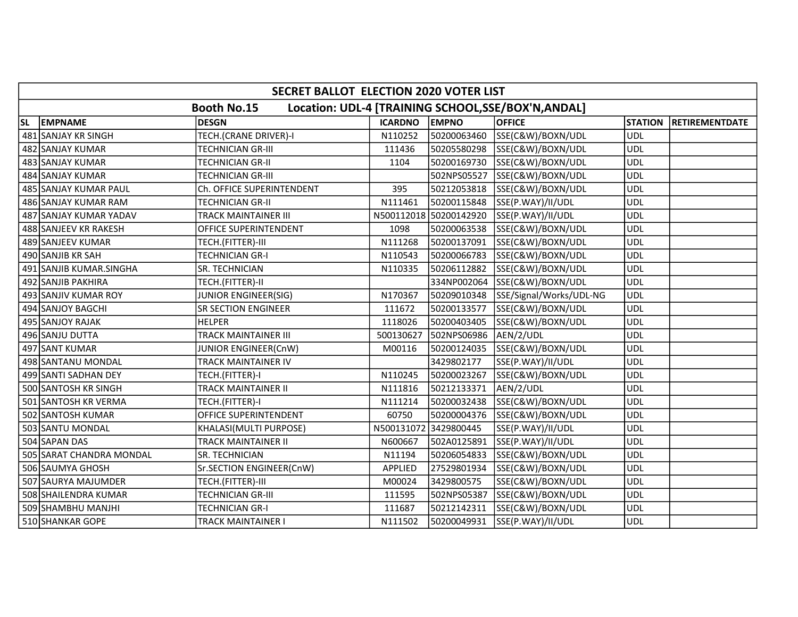|    | SECRET BALLOT ELECTION 2020 VOTER LIST |                             |                |                        |                                                    |                |                |  |  |
|----|----------------------------------------|-----------------------------|----------------|------------------------|----------------------------------------------------|----------------|----------------|--|--|
|    |                                        | <b>Booth No.15</b>          |                |                        | Location: UDL-4 [TRAINING SCHOOL, SE/BOX'N, ANDAL] |                |                |  |  |
| SL | <b>EMPNAME</b>                         | <b>DESGN</b>                | <b>ICARDNO</b> | <b>EMPNO</b>           | <b>OFFICE</b>                                      | <b>STATION</b> | RETIREMENTDATE |  |  |
|    | 481 SANJAY KR SINGH                    | TECH.(CRANE DRIVER)-I       | N110252        | 50200063460            | SSE(C&W)/BOXN/UDL                                  | <b>UDL</b>     |                |  |  |
|    | 482 SANJAY KUMAR                       | <b>TECHNICIAN GR-III</b>    | 111436         | 50205580298            | SSE(C&W)/BOXN/UDL                                  | <b>UDL</b>     |                |  |  |
|    | 483 SANJAY KUMAR                       | <b>TECHNICIAN GR-II</b>     | 1104           | 50200169730            | SSE(C&W)/BOXN/UDL                                  | <b>UDL</b>     |                |  |  |
|    | 484 SANJAY KUMAR                       | <b>TECHNICIAN GR-III</b>    |                | 502NPS05527            | SSE(C&W)/BOXN/UDL                                  | <b>UDL</b>     |                |  |  |
|    | 485 SANJAY KUMAR PAUL                  | Ch. OFFICE SUPERINTENDENT   | 395            | 50212053818            | SSE(C&W)/BOXN/UDL                                  | <b>UDL</b>     |                |  |  |
|    | 486 SANJAY KUMAR RAM                   | <b>TECHNICIAN GR-II</b>     | N111461        | 50200115848            | SSE(P.WAY)/II/UDL                                  | <b>UDL</b>     |                |  |  |
|    | 487 SANJAY KUMAR YADAV                 | <b>TRACK MAINTAINER III</b> |                | N500112018 50200142920 | SSE(P.WAY)/II/UDL                                  | <b>UDL</b>     |                |  |  |
|    | 488 SANJEEV KR RAKESH                  | OFFICE SUPERINTENDENT       | 1098           | 50200063538            | SSE(C&W)/BOXN/UDL                                  | <b>UDL</b>     |                |  |  |
|    | 489 SANJEEV KUMAR                      | TECH.(FITTER)-III           | N111268        | 50200137091            | SSE(C&W)/BOXN/UDL                                  | <b>UDL</b>     |                |  |  |
|    | 490 SANJIB KR SAH                      | <b>TECHNICIAN GR-I</b>      | N110543        | 50200066783            | SSE(C&W)/BOXN/UDL                                  | <b>UDL</b>     |                |  |  |
|    | 491 SANJIB KUMAR.SINGHA                | SR. TECHNICIAN              | N110335        | 50206112882            | SSE(C&W)/BOXN/UDL                                  | <b>UDL</b>     |                |  |  |
|    | 492 SANJIB PAKHIRA                     | TECH.(FITTER)-II            |                |                        | 334NP002064 SSE(C&W)/BOXN/UDL                      | <b>UDL</b>     |                |  |  |
|    | 493 SANJIV KUMAR ROY                   | JUNIOR ENGINEER(SIG)        | N170367        | 50209010348            | SSE/Signal/Works/UDL-NG                            | <b>UDL</b>     |                |  |  |
|    | 494 SANJOY BAGCHI                      | <b>SR SECTION ENGINEER</b>  | 111672         | 50200133577            | SSE(C&W)/BOXN/UDL                                  | <b>UDL</b>     |                |  |  |
|    | 495 SANJOY RAJAK                       | <b>HELPER</b>               | 1118026        | 50200403405            | SSE(C&W)/BOXN/UDL                                  | <b>UDL</b>     |                |  |  |
|    | 496 SANJU DUTTA                        | <b>TRACK MAINTAINER III</b> | 500130627      | 502NPS06986            | AEN/2/UDL                                          | <b>UDL</b>     |                |  |  |
|    | 497 SANT KUMAR                         | <b>JUNIOR ENGINEER(CnW)</b> | M00116         | 50200124035            | SSE(C&W)/BOXN/UDL                                  | <b>UDL</b>     |                |  |  |
|    | 498 SANTANU MONDAL                     | TRACK MAINTAINER IV         |                | 3429802177             | SSE(P.WAY)/II/UDL                                  | <b>UDL</b>     |                |  |  |
|    | 499 SANTI SADHAN DEY                   | TECH.(FITTER)-I             | N110245        | 50200023267            | SSE(C&W)/BOXN/UDL                                  | <b>UDL</b>     |                |  |  |
|    | 500 SANTOSH KR SINGH                   | <b>TRACK MAINTAINER II</b>  | N111816        | 50212133371            | AEN/2/UDL                                          | <b>UDL</b>     |                |  |  |
|    | 501 SANTOSH KR VERMA                   | TECH.(FITTER)-I             | N111214        | 50200032438            | SSE(C&W)/BOXN/UDL                                  | <b>UDL</b>     |                |  |  |
|    | 502 SANTOSH KUMAR                      | OFFICE SUPERINTENDENT       | 60750          | 50200004376            | SSE(C&W)/BOXN/UDL                                  | <b>UDL</b>     |                |  |  |
|    | 503 SANTU MONDAL                       | KHALASI(MULTI PURPOSE)      | N500131072     | 3429800445             | SSE(P.WAY)/II/UDL                                  | <b>UDL</b>     |                |  |  |
|    | 504 SAPAN DAS                          | <b>TRACK MAINTAINER II</b>  | N600667        | 502A0125891            | SSE(P.WAY)/II/UDL                                  | <b>UDL</b>     |                |  |  |
|    | 505 SARAT CHANDRA MONDAL               | SR. TECHNICIAN              | N11194         | 50206054833            | SSE(C&W)/BOXN/UDL                                  | <b>UDL</b>     |                |  |  |
|    | 506 SAUMYA GHOSH                       | Sr.SECTION ENGINEER(CnW)    | APPLIED        | 27529801934            | SSE(C&W)/BOXN/UDL                                  | <b>UDL</b>     |                |  |  |
|    | 507 SAURYA MAJUMDER                    | TECH.(FITTER)-III           | M00024         | 3429800575             | SSE(C&W)/BOXN/UDL                                  | <b>UDL</b>     |                |  |  |
|    | 508 SHAILENDRA KUMAR                   | TECHNICIAN GR-III           | 111595         | 502NPS05387            | SSE(C&W)/BOXN/UDL                                  | <b>UDL</b>     |                |  |  |
|    | 509 SHAMBHU MANJHI                     | <b>TECHNICIAN GR-I</b>      | 111687         | 50212142311            | SSE(C&W)/BOXN/UDL                                  | <b>UDL</b>     |                |  |  |
|    | 510 SHANKAR GOPE                       | TRACK MAINTAINER I          | N111502        | 50200049931            | SSE(P.WAY)/II/UDL                                  | <b>UDL</b>     |                |  |  |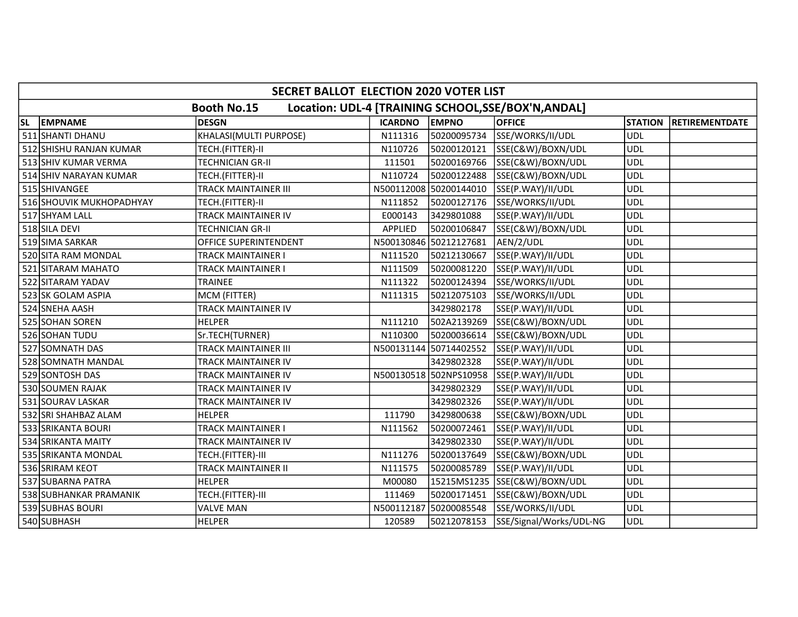|           |                          | SECRET BALLOT ELECTION 2020 VOTER LIST |                |                        |                                                     |                |                       |
|-----------|--------------------------|----------------------------------------|----------------|------------------------|-----------------------------------------------------|----------------|-----------------------|
|           |                          | <b>Booth No.15</b>                     |                |                        | Location: UDL-4 [TRAINING SCHOOL, SSE/BOX'N, ANDAL] |                |                       |
| <b>SL</b> | <b>EMPNAME</b>           | <b>DESGN</b>                           | <b>ICARDNO</b> | <b>EMPNO</b>           | <b>OFFICE</b>                                       | <b>STATION</b> | <b>RETIREMENTDATE</b> |
|           | 511 SHANTI DHANU         | KHALASI(MULTI PURPOSE)                 | N111316        | 50200095734            | SSE/WORKS/II/UDL                                    | <b>UDL</b>     |                       |
|           | 512 SHISHU RANJAN KUMAR  | TECH.(FITTER)-II                       | N110726        | 50200120121            | SSE(C&W)/BOXN/UDL                                   | <b>UDL</b>     |                       |
|           | 513 SHIV KUMAR VERMA     | <b>TECHNICIAN GR-II</b>                | 111501         | 50200169766            | SSE(C&W)/BOXN/UDL                                   | <b>UDL</b>     |                       |
|           | 514 SHIV NARAYAN KUMAR   | TECH.(FITTER)-II                       | N110724        | 50200122488            | SSE(C&W)/BOXN/UDL                                   | <b>UDL</b>     |                       |
|           | 515 SHIVANGEE            | <b>TRACK MAINTAINER III</b>            |                | N500112008 50200144010 | SSE(P.WAY)/II/UDL                                   | <b>UDL</b>     |                       |
|           | 516 SHOUVIK MUKHOPADHYAY | TECH.(FITTER)-II                       | N111852        | 50200127176            | SSE/WORKS/II/UDL                                    | <b>UDL</b>     |                       |
|           | 517 SHYAM LALL           | <b>TRACK MAINTAINER IV</b>             | E000143        | 3429801088             | SSE(P.WAY)/II/UDL                                   | <b>UDL</b>     |                       |
|           | 518 SILA DEVI            | <b>TECHNICIAN GR-II</b>                | APPLIED        | 50200106847            | SSE(C&W)/BOXN/UDL                                   | <b>UDL</b>     |                       |
|           | 519 SIMA SARKAR          | OFFICE SUPERINTENDENT                  |                | N500130846 50212127681 | AEN/2/UDL                                           | <b>UDL</b>     |                       |
|           | 520 SITA RAM MONDAL      | <b>TRACK MAINTAINER I</b>              | N111520        | 50212130667            | SSE(P.WAY)/II/UDL                                   | <b>UDL</b>     |                       |
|           | 521 SITARAM MAHATO       | <b>TRACK MAINTAINER I</b>              | N111509        | 50200081220            | SSE(P.WAY)/II/UDL                                   | <b>UDL</b>     |                       |
|           | 522 SITARAM YADAV        | TRAINEE                                | N111322        | 50200124394            | SSE/WORKS/II/UDL                                    | <b>UDL</b>     |                       |
|           | 523 SK GOLAM ASPIA       | MCM (FITTER)                           | N111315        | 50212075103            | SSE/WORKS/II/UDL                                    | <b>UDL</b>     |                       |
|           | 524 SNEHA AASH           | TRACK MAINTAINER IV                    |                | 3429802178             | SSE(P.WAY)/II/UDL                                   | <b>UDL</b>     |                       |
|           | 525 SOHAN SOREN          | <b>HELPER</b>                          | N111210        | 502A2139269            | SSE(C&W)/BOXN/UDL                                   | <b>UDL</b>     |                       |
|           | 526 SOHAN TUDU           | Sr.TECH(TURNER)                        | N110300        | 50200036614            | SSE(C&W)/BOXN/UDL                                   | <b>UDL</b>     |                       |
|           | 527 SOMNATH DAS          | <b>TRACK MAINTAINER III</b>            |                | N500131144 50714402552 | SSE(P.WAY)/II/UDL                                   | <b>UDL</b>     |                       |
|           | 528 SOMNATH MANDAL       | <b>TRACK MAINTAINER IV</b>             |                | 3429802328             | SSE(P.WAY)/II/UDL                                   | <b>UDL</b>     |                       |
|           | 529 SONTOSH DAS          | TRACK MAINTAINER IV                    |                | N500130518 502NPS10958 | SSE(P.WAY)/II/UDL                                   | <b>UDL</b>     |                       |
|           | 530 SOUMEN RAJAK         | <b>TRACK MAINTAINER IV</b>             |                | 3429802329             | SSE(P.WAY)/II/UDL                                   | <b>UDL</b>     |                       |
|           | 531 SOURAV LASKAR        | TRACK MAINTAINER IV                    |                | 3429802326             | SSE(P.WAY)/II/UDL                                   | <b>UDL</b>     |                       |
|           | 532 SRI SHAHBAZ ALAM     | <b>HELPER</b>                          | 111790         | 3429800638             | SSE(C&W)/BOXN/UDL                                   | <b>UDL</b>     |                       |
|           | 533 SRIKANTA BOURI       | TRACK MAINTAINER I                     | N111562        | 50200072461            | SSE(P.WAY)/II/UDL                                   | <b>UDL</b>     |                       |
|           | 534 SRIKANTA MAITY       | TRACK MAINTAINER IV                    |                | 3429802330             | SSE(P.WAY)/II/UDL                                   | <b>UDL</b>     |                       |
|           | 535 SRIKANTA MONDAL      | TECH.(FITTER)-III                      | N111276        | 50200137649            | SSE(C&W)/BOXN/UDL                                   | <b>UDL</b>     |                       |
|           | 536 SRIRAM KEOT          | <b>TRACK MAINTAINER II</b>             | N111575        | 50200085789            | SSE(P.WAY)/II/UDL                                   | UDL            |                       |
|           | 537 SUBARNA PATRA        | <b>HELPER</b>                          | M00080         |                        | 15215MS1235 SSE(C&W)/BOXN/UDL                       | <b>UDL</b>     |                       |
|           | 538 SUBHANKAR PRAMANIK   | TECH.(FITTER)-III                      | 111469         | 50200171451            | SSE(C&W)/BOXN/UDL                                   | <b>UDL</b>     |                       |
|           | 539 SUBHAS BOURI         | <b>VALVE MAN</b>                       |                | N500112187 50200085548 | SSE/WORKS/II/UDL                                    | <b>UDL</b>     |                       |
|           | 540 SUBHASH              | <b>HELPER</b>                          | 120589         | 50212078153            | SSE/Signal/Works/UDL-NG                             | <b>UDL</b>     |                       |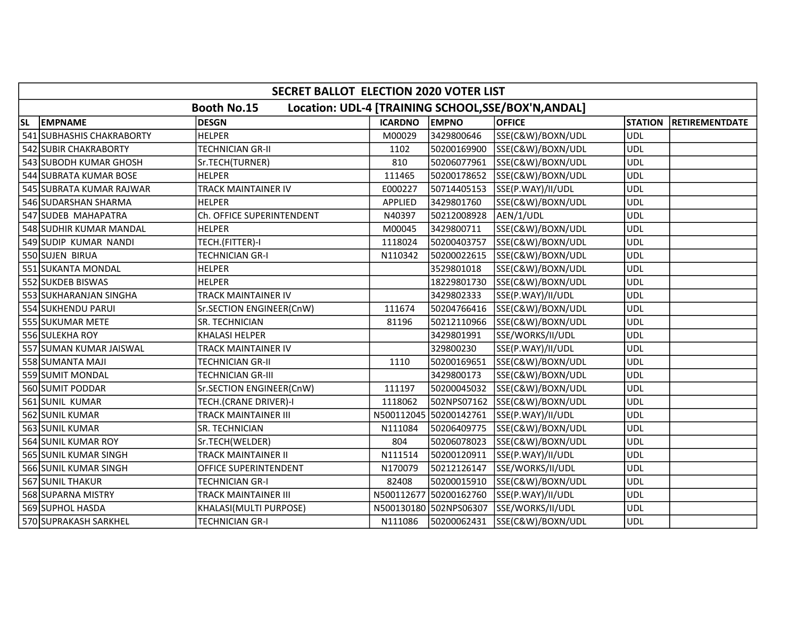|           |                           | SECRET BALLOT ELECTION 2020 VOTER LIST |                |                        |                                                     |                |                       |
|-----------|---------------------------|----------------------------------------|----------------|------------------------|-----------------------------------------------------|----------------|-----------------------|
|           |                           | <b>Booth No.15</b>                     |                |                        | Location: UDL-4 [TRAINING SCHOOL, SSE/BOX'N, ANDAL] |                |                       |
| <b>SL</b> | <b>EMPNAME</b>            | <b>DESGN</b>                           | <b>ICARDNO</b> | <b>EMPNO</b>           | <b>OFFICE</b>                                       | <b>STATION</b> | <b>RETIREMENTDATE</b> |
|           | 541 SUBHASHIS CHAKRABORTY | <b>HELPER</b>                          | M00029         | 3429800646             | SSE(C&W)/BOXN/UDL                                   | <b>UDL</b>     |                       |
|           | 542 SUBIR CHAKRABORTY     | <b>TECHNICIAN GR-II</b>                | 1102           | 50200169900            | SSE(C&W)/BOXN/UDL                                   | <b>UDL</b>     |                       |
|           | 543 SUBODH KUMAR GHOSH    | Sr.TECH(TURNER)                        | 810            | 50206077961            | SSE(C&W)/BOXN/UDL                                   | <b>UDL</b>     |                       |
|           | 544 SUBRATA KUMAR BOSE    | <b>HELPER</b>                          | 111465         | 50200178652            | SSE(C&W)/BOXN/UDL                                   | <b>UDL</b>     |                       |
|           | 545 SUBRATA KUMAR RAJWAR  | <b>TRACK MAINTAINER IV</b>             | E000227        | 50714405153            | SSE(P.WAY)/II/UDL                                   | <b>UDL</b>     |                       |
|           | 546 SUDARSHAN SHARMA      | <b>HELPER</b>                          | APPLIED        | 3429801760             | SSE(C&W)/BOXN/UDL                                   | <b>UDL</b>     |                       |
|           | 547 SUDEB MAHAPATRA       | Ch. OFFICE SUPERINTENDENT              | N40397         | 50212008928            | AEN/1/UDL                                           | <b>UDL</b>     |                       |
|           | 548 SUDHIR KUMAR MANDAL   | <b>HELPER</b>                          | M00045         | 3429800711             | SSE(C&W)/BOXN/UDL                                   | <b>UDL</b>     |                       |
|           | 549 SUDIP KUMAR NANDI     | TECH.(FITTER)-I                        | 1118024        | 50200403757            | SSE(C&W)/BOXN/UDL                                   | <b>UDL</b>     |                       |
|           | 550 SUJEN BIRUA           | <b>TECHNICIAN GR-I</b>                 | N110342        | 50200022615            | SSE(C&W)/BOXN/UDL                                   | <b>UDL</b>     |                       |
|           | 551 SUKANTA MONDAL        | <b>HELPER</b>                          |                | 3529801018             | SSE(C&W)/BOXN/UDL                                   | <b>UDL</b>     |                       |
|           | 552 SUKDEB BISWAS         | <b>HELPER</b>                          |                | 18229801730            | SSE(C&W)/BOXN/UDL                                   | <b>UDL</b>     |                       |
|           | 553 SUKHARANJAN SINGHA    | <b>TRACK MAINTAINER IV</b>             |                | 3429802333             | SSE(P.WAY)/II/UDL                                   | <b>UDL</b>     |                       |
|           | 554 SUKHENDU PARUI        | Sr.SECTION ENGINEER(CnW)               | 111674         | 50204766416            | SSE(C&W)/BOXN/UDL                                   | <b>UDL</b>     |                       |
|           | 555 SUKUMAR METE          | SR. TECHNICIAN                         | 81196          | 50212110966            | SSE(C&W)/BOXN/UDL                                   | <b>UDL</b>     |                       |
|           | 556 SULEKHA ROY           | KHALASI HELPER                         |                | 3429801991             | SSE/WORKS/II/UDL                                    | <b>UDL</b>     |                       |
|           | 557 SUMAN KUMAR JAISWAL   | TRACK MAINTAINER IV                    |                | 329800230              | SSE(P.WAY)/II/UDL                                   | <b>UDL</b>     |                       |
|           | 558 SUMANTA MAJI          | <b>TECHNICIAN GR-II</b>                | 1110           | 50200169651            | SSE(C&W)/BOXN/UDL                                   | <b>UDL</b>     |                       |
|           | 559 SUMIT MONDAL          | <b>TECHNICIAN GR-III</b>               |                | 3429800173             | SSE(C&W)/BOXN/UDL                                   | <b>UDL</b>     |                       |
|           | 560 SUMIT PODDAR          | Sr.SECTION ENGINEER(CnW)               | 111197         | 50200045032            | SSE(C&W)/BOXN/UDL                                   | <b>UDL</b>     |                       |
|           | 561 SUNIL KUMAR           | TECH.(CRANE DRIVER)-I                  | 1118062        | 502NPS07162            | SSE(C&W)/BOXN/UDL                                   | <b>UDL</b>     |                       |
|           | 562 SUNIL KUMAR           | <b>TRACK MAINTAINER III</b>            |                | N500112045 50200142761 | SSE(P.WAY)/II/UDL                                   | <b>UDL</b>     |                       |
|           | 563 SUNIL KUMAR           | SR. TECHNICIAN                         | N111084        | 50206409775            | SSE(C&W)/BOXN/UDL                                   | <b>UDL</b>     |                       |
|           | 564 SUNIL KUMAR ROY       | Sr.TECH(WELDER)                        | 804            | 50206078023            | SSE(C&W)/BOXN/UDL                                   | <b>UDL</b>     |                       |
|           | 565 SUNIL KUMAR SINGH     | <b>TRACK MAINTAINER II</b>             | N111514        | 50200120911            | SSE(P.WAY)/II/UDL                                   | <b>UDL</b>     |                       |
|           | 566 SUNIL KUMAR SINGH     | OFFICE SUPERINTENDENT                  | N170079        | 50212126147            | SSE/WORKS/II/UDL                                    | <b>UDL</b>     |                       |
|           | 567 SUNIL THAKUR          | <b>TECHNICIAN GR-I</b>                 | 82408          | 50200015910            | SSE(C&W)/BOXN/UDL                                   | <b>UDL</b>     |                       |
|           | 568 SUPARNA MISTRY        | TRACK MAINTAINER III                   | N500112677     | 50200162760            | SSE(P.WAY)/II/UDL                                   | <b>UDL</b>     |                       |
|           | 569 SUPHOL HASDA          | KHALASI(MULTI PURPOSE)                 |                | N500130180 502NPS06307 | SSE/WORKS/II/UDL                                    | <b>UDL</b>     |                       |
|           | 570 SUPRAKASH SARKHEL     | <b>TECHNICIAN GR-I</b>                 | N111086        | 50200062431            | SSE(C&W)/BOXN/UDL                                   | <b>UDL</b>     |                       |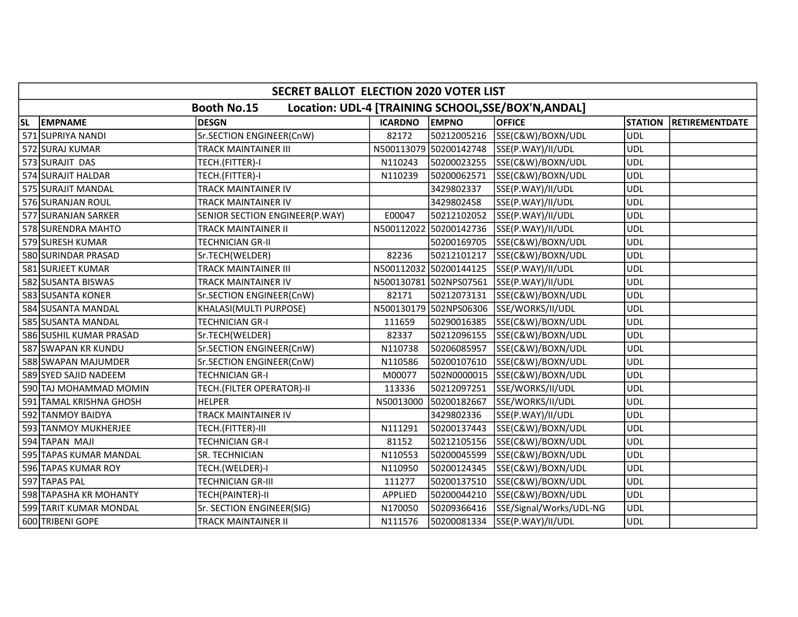|    | SECRET BALLOT ELECTION 2020 VOTER LIST |                                |                |                        |                                                     |                |                       |  |  |
|----|----------------------------------------|--------------------------------|----------------|------------------------|-----------------------------------------------------|----------------|-----------------------|--|--|
|    |                                        | Booth No.15                    |                |                        | Location: UDL-4 [TRAINING SCHOOL, SSE/BOX'N, ANDAL] |                |                       |  |  |
| SL | <b>EMPNAME</b>                         | <b>DESGN</b>                   | <b>ICARDNO</b> | <b>EMPNO</b>           | <b>OFFICE</b>                                       | <b>STATION</b> | <b>RETIREMENTDATE</b> |  |  |
|    | 571 SUPRIYA NANDI                      | Sr.SECTION ENGINEER(CnW)       | 82172          | 50212005216            | SSE(C&W)/BOXN/UDL                                   | <b>UDL</b>     |                       |  |  |
|    | 572 SURAJ KUMAR                        | <b>TRACK MAINTAINER III</b>    |                | N500113079 50200142748 | SSE(P.WAY)/II/UDL                                   | <b>UDL</b>     |                       |  |  |
|    | 573 SURAJIT DAS                        | TECH.(FITTER)-I                | N110243        | 50200023255            | SSE(C&W)/BOXN/UDL                                   | <b>UDL</b>     |                       |  |  |
|    | 574 SURAJIT HALDAR                     | TECH.(FITTER)-I                | N110239        | 50200062571            | SSE(C&W)/BOXN/UDL                                   | <b>UDL</b>     |                       |  |  |
|    | 575 SURAJIT MANDAL                     | TRACK MAINTAINER IV            |                | 3429802337             | SSE(P.WAY)/II/UDL                                   | <b>UDL</b>     |                       |  |  |
|    | 576 SURANJAN ROUL                      | <b>TRACK MAINTAINER IV</b>     |                | 3429802458             | SSE(P.WAY)/II/UDL                                   | <b>UDL</b>     |                       |  |  |
|    | 577 SURANJAN SARKER                    | SENIOR SECTION ENGINEER(P.WAY) | E00047         | 50212102052            | SSE(P.WAY)/II/UDL                                   | <b>UDL</b>     |                       |  |  |
|    | 578 SURENDRA MAHTO                     | TRACK MAINTAINER II            |                | N500112022 50200142736 | SSE(P.WAY)/II/UDL                                   | <b>UDL</b>     |                       |  |  |
|    | 579 SURESH KUMAR                       | <b>TECHNICIAN GR-II</b>        |                | 50200169705            | SSE(C&W)/BOXN/UDL                                   | <b>UDL</b>     |                       |  |  |
|    | 580 SURINDAR PRASAD                    | Sr.TECH(WELDER)                | 82236          | 50212101217            | SSE(C&W)/BOXN/UDL                                   | <b>UDL</b>     |                       |  |  |
|    | 581 SURJEET KUMAR                      | TRACK MAINTAINER III           |                | N500112032 50200144125 | SSE(P.WAY)/II/UDL                                   | <b>UDL</b>     |                       |  |  |
|    | 582 SUSANTA BISWAS                     | TRACK MAINTAINER IV            |                | N500130781 502NPS07561 | SSE(P.WAY)/II/UDL                                   | <b>UDL</b>     |                       |  |  |
|    | 583 SUSANTA KONER                      | Sr.SECTION ENGINEER(CnW)       | 82171          | 50212073131            | SSE(C&W)/BOXN/UDL                                   | <b>UDL</b>     |                       |  |  |
|    | 584 SUSANTA MANDAL                     | KHALASI(MULTI PURPOSE)         |                | N500130179 502NPS06306 | SSE/WORKS/II/UDL                                    | <b>UDL</b>     |                       |  |  |
|    | 585 SUSANTA MANDAL                     | <b>TECHNICIAN GR-I</b>         | 111659         | 50290016385            | SSE(C&W)/BOXN/UDL                                   | <b>UDL</b>     |                       |  |  |
|    | 586 SUSHIL KUMAR PRASAD                | Sr.TECH(WELDER)                | 82337          | 50212096155            | SSE(C&W)/BOXN/UDL                                   | <b>UDL</b>     |                       |  |  |
|    | 587 SWAPAN KR KUNDU                    | Sr.SECTION ENGINEER(CnW)       | N110738        | 50206085957            | SSE(C&W)/BOXN/UDL                                   | <b>UDL</b>     |                       |  |  |
|    | 588 SWAPAN MAJUMDER                    | Sr.SECTION ENGINEER(CnW)       | N110586        | 50200107610            | SSE(C&W)/BOXN/UDL                                   | <b>UDL</b>     |                       |  |  |
|    | 589 SYED SAJID NADEEM                  | <b>TECHNICIAN GR-I</b>         | M00077         | 502N0000015            | SSE(C&W)/BOXN/UDL                                   | <b>UDL</b>     |                       |  |  |
|    | 590 TAJ MOHAMMAD MOMIN                 | TECH.(FILTER OPERATOR)-II      | 113336         | 50212097251            | SSE/WORKS/II/UDL                                    | <b>UDL</b>     |                       |  |  |
|    | 591 TAMAL KRISHNA GHOSH                | <b>HELPER</b>                  | N50013000      | 50200182667            | SSE/WORKS/II/UDL                                    | <b>UDL</b>     |                       |  |  |
|    | 592 TANMOY BAIDYA                      | <b>TRACK MAINTAINER IV</b>     |                | 3429802336             | SSE(P.WAY)/II/UDL                                   | <b>UDL</b>     |                       |  |  |
|    | 593 TANMOY MUKHERJEE                   | TECH.(FITTER)-III              | N111291        | 50200137443            | SSE(C&W)/BOXN/UDL                                   | <b>UDL</b>     |                       |  |  |
|    | 594 TAPAN MAJI                         | <b>TECHNICIAN GR-I</b>         | 81152          | 50212105156            | SSE(C&W)/BOXN/UDL                                   | <b>UDL</b>     |                       |  |  |
|    | 595 TAPAS KUMAR MANDAL                 | SR. TECHNICIAN                 | N110553        | 50200045599            | SSE(C&W)/BOXN/UDL                                   | <b>UDL</b>     |                       |  |  |
|    | 596 TAPAS KUMAR ROY                    | TECH.(WELDER)-I                | N110950        | 50200124345            | SSE(C&W)/BOXN/UDL                                   | <b>UDL</b>     |                       |  |  |
|    | 597 TAPAS PAL                          | TECHNICIAN GR-III              | 111277         | 50200137510            | SSE(C&W)/BOXN/UDL                                   | <b>UDL</b>     |                       |  |  |
|    | 598 TAPASHA KR MOHANTY                 | TECH(PAINTER)-II               | APPLIED        | 50200044210            | SSE(C&W)/BOXN/UDL                                   | <b>UDL</b>     |                       |  |  |
|    | 599 TARIT KUMAR MONDAL                 | Sr. SECTION ENGINEER(SIG)      | N170050        | 50209366416            | SSE/Signal/Works/UDL-NG                             | <b>UDL</b>     |                       |  |  |
|    | 600 TRIBENI GOPE                       | TRACK MAINTAINER II            | N111576        | 50200081334            | SSE(P.WAY)/II/UDL                                   | <b>UDL</b>     |                       |  |  |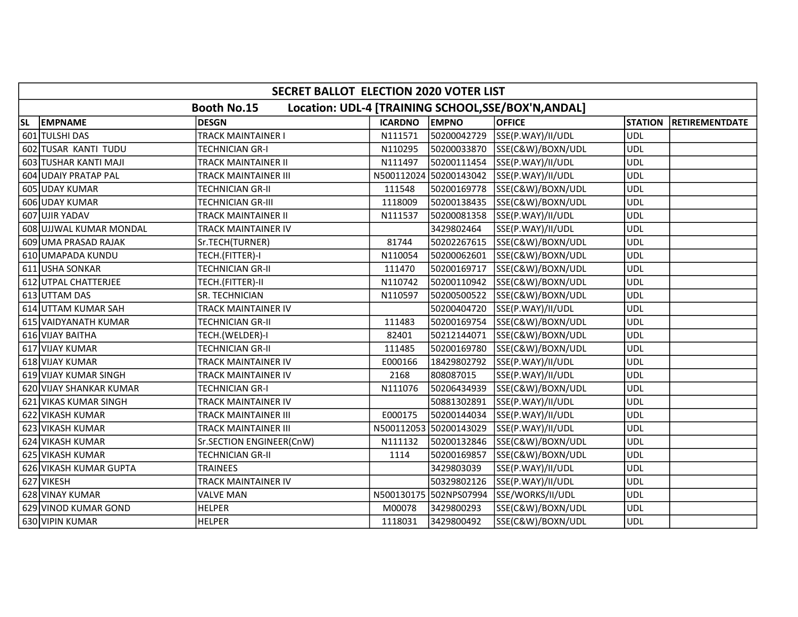|    | SECRET BALLOT ELECTION 2020 VOTER LIST |                             |                |                        |                                                    |                |                |  |  |
|----|----------------------------------------|-----------------------------|----------------|------------------------|----------------------------------------------------|----------------|----------------|--|--|
|    |                                        | <b>Booth No.15</b>          |                |                        | Location: UDL-4 [TRAINING SCHOOL, SE/BOX'N, ANDAL] |                |                |  |  |
| SL | <b>EMPNAME</b>                         | <b>DESGN</b>                | <b>ICARDNO</b> | <b>EMPNO</b>           | <b>OFFICE</b>                                      | <b>STATION</b> | RETIREMENTDATE |  |  |
|    | 601 TULSHI DAS                         | <b>TRACK MAINTAINER I</b>   | N111571        | 50200042729            | SSE(P.WAY)/II/UDL                                  | <b>UDL</b>     |                |  |  |
|    | 602 TUSAR KANTI TUDU                   | <b>TECHNICIAN GR-I</b>      | N110295        | 50200033870            | SSE(C&W)/BOXN/UDL                                  | <b>UDL</b>     |                |  |  |
|    | 603 TUSHAR KANTI MAJI                  | <b>TRACK MAINTAINER II</b>  | N111497        | 50200111454            | SSE(P.WAY)/II/UDL                                  | <b>UDL</b>     |                |  |  |
|    | 604 UDAIY PRATAP PAL                   | <b>TRACK MAINTAINER III</b> |                | N500112024 50200143042 | SSE(P.WAY)/II/UDL                                  | <b>UDL</b>     |                |  |  |
|    | 605 UDAY KUMAR                         | <b>TECHNICIAN GR-II</b>     | 111548         | 50200169778            | SSE(C&W)/BOXN/UDL                                  | <b>UDL</b>     |                |  |  |
|    | 606 UDAY KUMAR                         | <b>TECHNICIAN GR-III</b>    | 1118009        | 50200138435            | SSE(C&W)/BOXN/UDL                                  | <b>UDL</b>     |                |  |  |
|    | 607 UJIR YADAV                         | <b>TRACK MAINTAINER II</b>  | N111537        | 50200081358            | SSE(P.WAY)/II/UDL                                  | <b>UDL</b>     |                |  |  |
|    | 608 UJJWAL KUMAR MONDAL                | TRACK MAINTAINER IV         |                | 3429802464             | SSE(P.WAY)/II/UDL                                  | <b>UDL</b>     |                |  |  |
|    | 609 UMA PRASAD RAJAK                   | Sr.TECH(TURNER)             | 81744          | 50202267615            | SSE(C&W)/BOXN/UDL                                  | <b>UDL</b>     |                |  |  |
|    | 610 UMAPADA KUNDU                      | TECH.(FITTER)-I             | N110054        | 50200062601            | SSE(C&W)/BOXN/UDL                                  | <b>UDL</b>     |                |  |  |
|    | 611 USHA SONKAR                        | <b>TECHNICIAN GR-II</b>     | 111470         | 50200169717            | SSE(C&W)/BOXN/UDL                                  | <b>UDL</b>     |                |  |  |
|    | 612 UTPAL CHATTERJEE                   | TECH.(FITTER)-II            | N110742        | 50200110942            | SSE(C&W)/BOXN/UDL                                  | <b>UDL</b>     |                |  |  |
|    | 613 UTTAM DAS                          | SR. TECHNICIAN              | N110597        | 50200500522            | SSE(C&W)/BOXN/UDL                                  | <b>UDL</b>     |                |  |  |
|    | 614 UTTAM KUMAR SAH                    | TRACK MAINTAINER IV         |                | 50200404720            | SSE(P.WAY)/II/UDL                                  | <b>UDL</b>     |                |  |  |
|    | 615 VAIDYANATH KUMAR                   | <b>TECHNICIAN GR-II</b>     | 111483         | 50200169754            | SSE(C&W)/BOXN/UDL                                  | <b>UDL</b>     |                |  |  |
|    | 616 VIJAY BAITHA                       | TECH.(WELDER)-I             | 82401          | 50212144071            | SSE(C&W)/BOXN/UDL                                  | <b>UDL</b>     |                |  |  |
|    | 617 VIJAY KUMAR                        | <b>TECHNICIAN GR-II</b>     | 111485         | 50200169780            | SSE(C&W)/BOXN/UDL                                  | <b>UDL</b>     |                |  |  |
|    | 618 VIJAY KUMAR                        | <b>TRACK MAINTAINER IV</b>  | E000166        | 18429802792            | SSE(P.WAY)/II/UDL                                  | <b>UDL</b>     |                |  |  |
|    | 619 VIJAY KUMAR SINGH                  | TRACK MAINTAINER IV         | 2168           | 808087015              | SSE(P.WAY)/II/UDL                                  | <b>UDL</b>     |                |  |  |
|    | 620 VIJAY SHANKAR KUMAR                | <b>TECHNICIAN GR-I</b>      | N111076        | 50206434939            | SSE(C&W)/BOXN/UDL                                  | <b>UDL</b>     |                |  |  |
|    | 621 VIKAS KUMAR SINGH                  | TRACK MAINTAINER IV         |                | 50881302891            | SSE(P.WAY)/II/UDL                                  | <b>UDL</b>     |                |  |  |
|    | 622 VIKASH KUMAR                       | TRACK MAINTAINER III        | E000175        | 50200144034            | SSE(P.WAY)/II/UDL                                  | <b>UDL</b>     |                |  |  |
|    | 623 VIKASH KUMAR                       | TRACK MAINTAINER III        |                | N500112053 50200143029 | SSE(P.WAY)/II/UDL                                  | <b>UDL</b>     |                |  |  |
|    | 624 VIKASH KUMAR                       | Sr.SECTION ENGINEER(CnW)    | N111132        | 50200132846            | SSE(C&W)/BOXN/UDL                                  | <b>UDL</b>     |                |  |  |
|    | 625 VIKASH KUMAR                       | <b>TECHNICIAN GR-II</b>     | 1114           | 50200169857            | SSE(C&W)/BOXN/UDL                                  | <b>UDL</b>     |                |  |  |
|    | 626 VIKASH KUMAR GUPTA                 | <b>TRAINEES</b>             |                | 3429803039             | SSE(P.WAY)/II/UDL                                  | <b>UDL</b>     |                |  |  |
|    | 627 VIKESH                             | TRACK MAINTAINER IV         |                | 50329802126            | SSE(P.WAY)/II/UDL                                  | <b>UDL</b>     |                |  |  |
|    | 628 VINAY KUMAR                        | <b>VALVE MAN</b>            |                | N500130175 502NPS07994 | SSE/WORKS/II/UDL                                   | <b>UDL</b>     |                |  |  |
|    | 629 VINOD KUMAR GOND                   | <b>HELPER</b>               | M00078         | 3429800293             | SSE(C&W)/BOXN/UDL                                  | <b>UDL</b>     |                |  |  |
|    | 630 VIPIN KUMAR                        | <b>HELPER</b>               | 1118031        | 3429800492             | SSE(C&W)/BOXN/UDL                                  | <b>UDL</b>     |                |  |  |